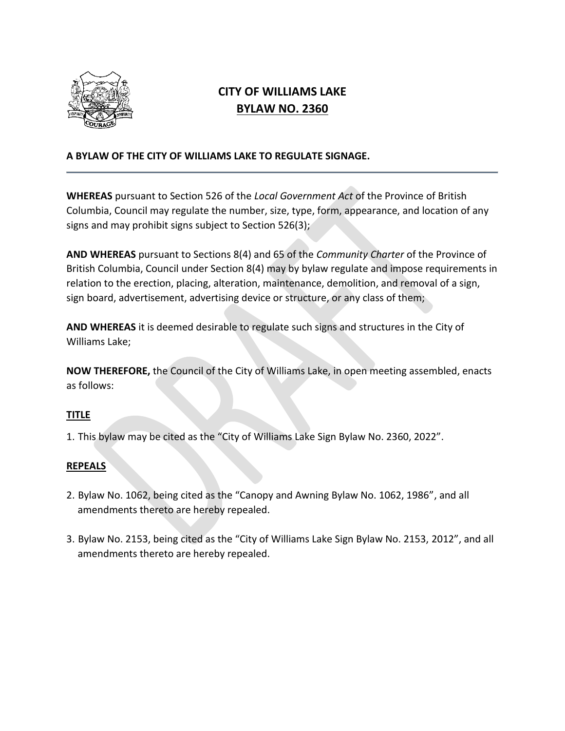

# **CITY OF WILLIAMS LAKE BYLAW NO. 2360**

## **A BYLAW OF THE CITY OF WILLIAMS LAKE TO REGULATE SIGNAGE.**

**WHEREAS** pursuant to Section 526 of the *Local Government Act* of the Province of British Columbia, Council may regulate the number, size, type, form, appearance, and location of any signs and may prohibit signs subject to Section 526(3);

**AND WHEREAS** pursuant to Sections 8(4) and 65 of the *Community Charter* of the Province of British Columbia, Council under Section 8(4) may by bylaw regulate and impose requirements in relation to the erection, placing, alteration, maintenance, demolition, and removal of a sign, sign board, advertisement, advertising device or structure, or any class of them;

**AND WHEREAS** it is deemed desirable to regulate such signs and structures in the City of Williams Lake;

**NOW THEREFORE,** the Council of the City of Williams Lake, in open meeting assembled, enacts as follows:

## **TITLE**

1. This bylaw may be cited as the "City of Williams Lake Sign Bylaw No. 2360, 2022".

## **REPEALS**

- 2. Bylaw No. 1062, being cited as the "Canopy and Awning Bylaw No. 1062, 1986", and all amendments thereto are hereby repealed.
- 3. Bylaw No. 2153, being cited as the "City of Williams Lake Sign Bylaw No. 2153, 2012", and all amendments thereto are hereby repealed.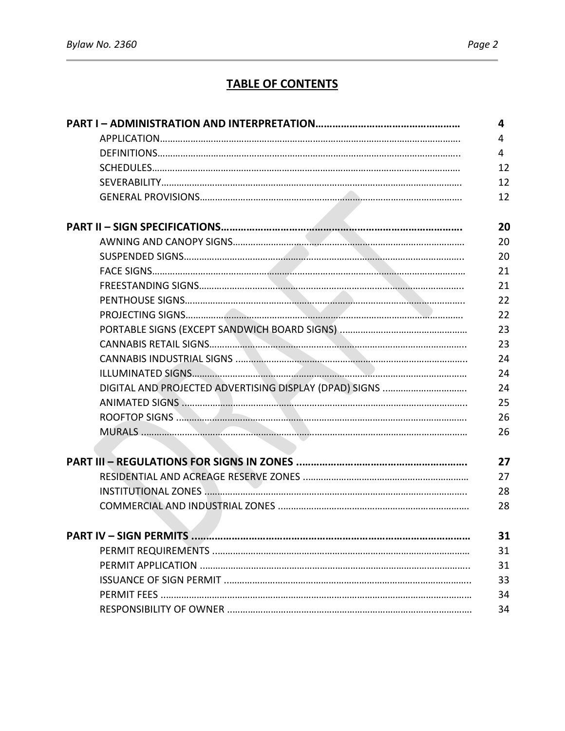# **TABLE OF CONTENTS**

| 4  |
|----|
| 4  |
| 4  |
| 12 |
| 12 |
| 12 |
| 20 |
| 20 |
| 20 |
|    |
| 21 |
| 21 |
| 22 |
| 22 |
| 23 |
| 23 |
| 24 |
| 24 |
| 24 |
| 25 |
| 26 |
| 26 |
|    |
| 27 |
| 27 |
| 28 |
| 28 |
| 31 |
| 31 |
| 31 |
| 33 |
| 34 |
| 34 |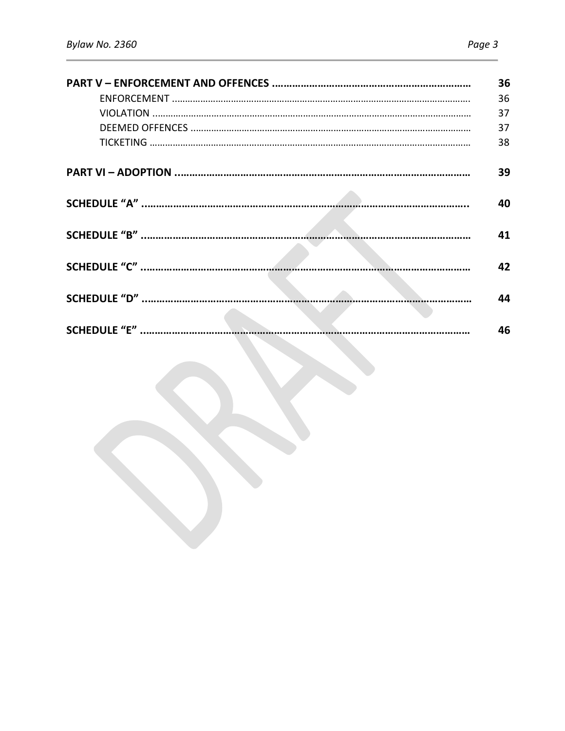| 36 |
|----|
| 36 |
| 37 |
| 37 |
| 38 |
| 39 |
| 40 |
| 41 |
|    |
| 42 |
|    |
| ΔΔ |
|    |
| 46 |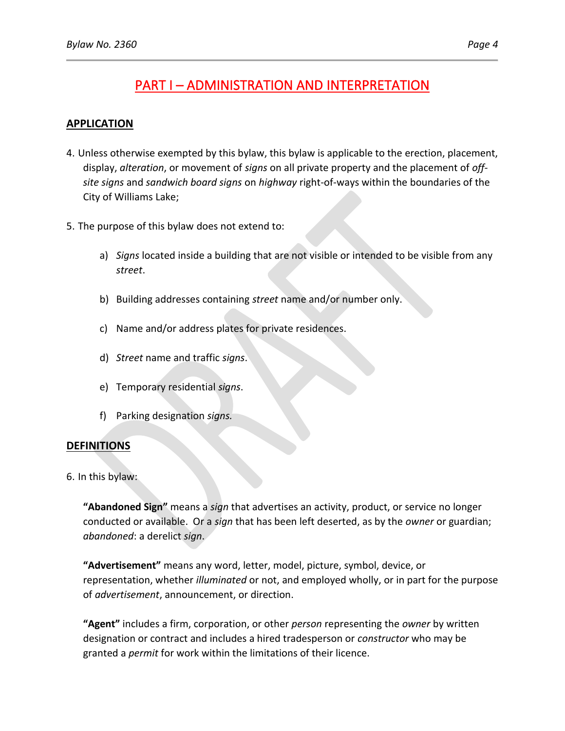## **APPLICATION**

- 4. Unless otherwise exempted by this bylaw, this bylaw is applicable to the erection, placement, display, *alteration*, or movement of *signs* on all private property and the placement of *offsite signs* and *sandwich board signs* on *highway* right-of-ways within the boundaries of the City of Williams Lake;
- 5. The purpose of this bylaw does not extend to:
	- a) *Signs* located inside a building that are not visible or intended to be visible from any *street*.
	- b) Building addresses containing *street* name and/or number only.
	- c) Name and/or address plates for private residences.
	- d) *Street* name and traffic *signs*.
	- e) Temporary residential *signs*.
	- f) Parking designation *signs.*

## **DEFINITIONS**

6. In this bylaw:

**"Abandoned Sign"** means a *sign* that advertises an activity, product, or service no longer conducted or available. Or a *sign* that has been left deserted, as by the *owner* or guardian; *abandoned*: a derelict *sign*.

**"Advertisement"** means any word, letter, model, picture, symbol, device, or representation, whether *illuminated* or not, and employed wholly, or in part for the purpose of *advertisement*, announcement, or direction.

**"Agent"** includes a firm, corporation, or other *person* representing the *owner* by written designation or contract and includes a hired tradesperson or *constructor* who may be granted a *permit* for work within the limitations of their licence.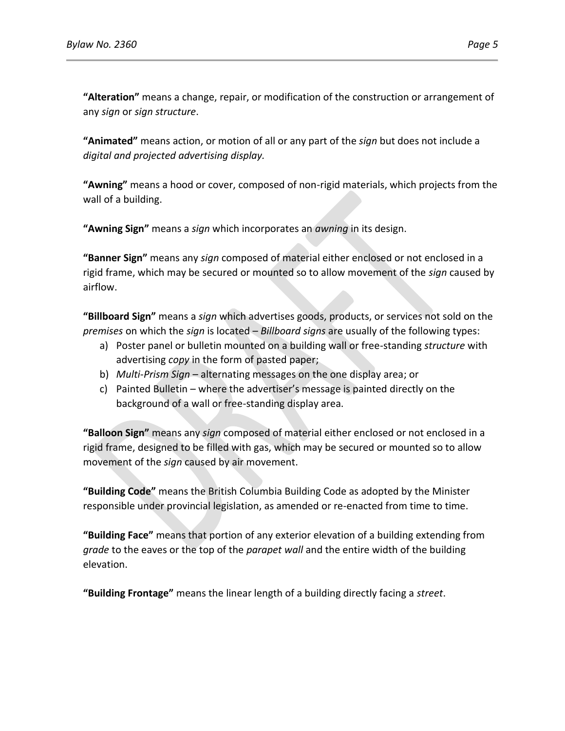**"Alteration"** means a change, repair, or modification of the construction or arrangement of any *sign* or *sign structure*.

**"Animated"** means action, or motion of all or any part of the *sign* but does not include a *digital and projected advertising display.*

**"Awning"** means a hood or cover, composed of non-rigid materials, which projects from the wall of a building.

**"Awning Sign"** means a *sign* which incorporates an *awning* in its design.

**"Banner Sign"** means any *sign* composed of material either enclosed or not enclosed in a rigid frame, which may be secured or mounted so to allow movement of the *sign* caused by airflow.

**"Billboard Sign"** means a *sign* which advertises goods, products, or services not sold on the *premises* on which the *sign* is located – *Billboard signs* are usually of the following types:

- a) Poster panel or bulletin mounted on a building wall or free-standing *structure* with advertising *copy* in the form of pasted paper;
- b) *Multi-Prism Sign* alternating messages on the one display area; or
- c) Painted Bulletin where the advertiser's message is painted directly on the background of a wall or free-standing display area.

**"Balloon Sign"** means any *sign* composed of material either enclosed or not enclosed in a rigid frame, designed to be filled with gas, which may be secured or mounted so to allow movement of the *sign* caused by air movement.

**"Building Code"** means the British Columbia Building Code as adopted by the Minister responsible under provincial legislation, as amended or re-enacted from time to time.

**"Building Face"** means that portion of any exterior elevation of a building extending from *grade* to the eaves or the top of the *parapet wall* and the entire width of the building elevation.

**"Building Frontage"** means the linear length of a building directly facing a *street*.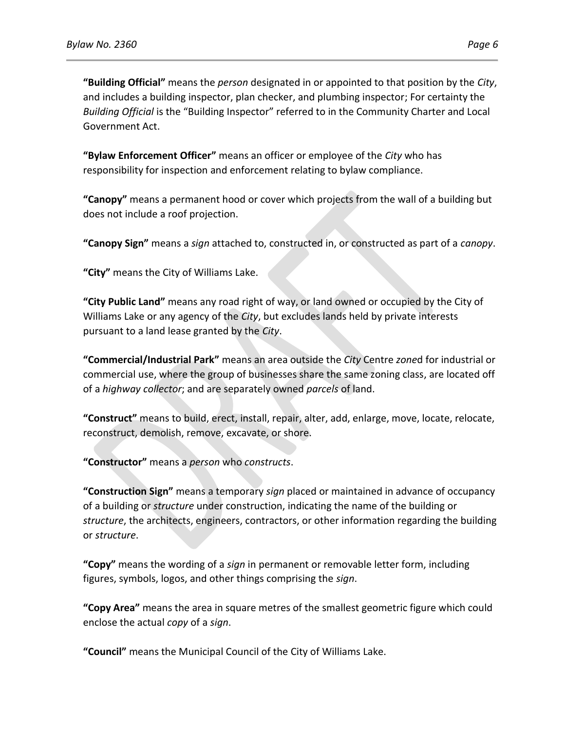**"Building Official"** means the *person* designated in or appointed to that position by the *City*, and includes a building inspector, plan checker, and plumbing inspector; For certainty the *Building Official* is the "Building Inspector" referred to in the Community Charter and Local Government Act.

**"Bylaw Enforcement Officer"** means an officer or employee of the *City* who has responsibility for inspection and enforcement relating to bylaw compliance.

**"Canopy"** means a permanent hood or cover which projects from the wall of a building but does not include a roof projection.

**"Canopy Sign"** means a *sign* attached to, constructed in, or constructed as part of a *canopy*.

**"City"** means the City of Williams Lake.

**"City Public Land"** means any road right of way, or land owned or occupied by the City of Williams Lake or any agency of the *City*, but excludes lands held by private interests pursuant to a land lease granted by the *City*.

**"Commercial/Industrial Park"** means an area outside the *City* Centre *zone*d for industrial or commercial use, where the group of businesses share the same zoning class, are located off of a *highway collector*; and are separately owned *parcels* of land.

**"Construct"** means to build, erect, install, repair, alter, add, enlarge, move, locate, relocate, reconstruct, demolish, remove, excavate, or shore.

**"Constructor"** means a *person* who *constructs*.

**"Construction Sign"** means a temporary *sign* placed or maintained in advance of occupancy of a building or *structure* under construction, indicating the name of the building or *structure*, the architects, engineers, contractors, or other information regarding the building or *structure*.

**"Copy"** means the wording of a *sign* in permanent or removable letter form, including figures, symbols, logos, and other things comprising the *sign*.

**"Copy Area"** means the area in square metres of the smallest geometric figure which could enclose the actual *copy* of a *sign*.

**"Council"** means the Municipal Council of the City of Williams Lake.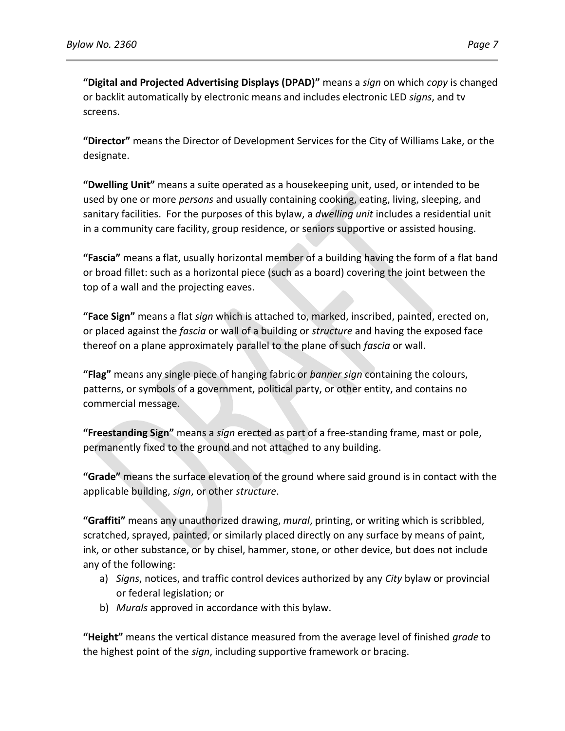**"Digital and Projected Advertising Displays (DPAD)"** means a *sign* on which *copy* is changed or backlit automatically by electronic means and includes electronic LED *signs*, and tv screens.

**"Director"** means the Director of Development Services for the City of Williams Lake, or the designate.

**"Dwelling Unit"** means a suite operated as a housekeeping unit, used, or intended to be used by one or more *persons* and usually containing cooking, eating, living, sleeping, and sanitary facilities. For the purposes of this bylaw, a *dwelling unit* includes a residential unit in a community care facility, group residence, or seniors supportive or assisted housing.

**"Fascia"** means a flat, usually horizontal member of a building having the form of a flat band or broad fillet: such as a horizontal piece (such as a board) covering the joint between the top of a wall and the projecting eaves.

**"Face Sign"** means a flat *sign* which is attached to, marked, inscribed, painted, erected on, or placed against the *fascia* or wall of a building or *structure* and having the exposed face thereof on a plane approximately parallel to the plane of such *fascia* or wall.

**"Flag"** means any single piece of hanging fabric or *banner sign* containing the colours, patterns, or symbols of a government, political party, or other entity, and contains no commercial message.

**"Freestanding Sign"** means a *sign* erected as part of a free-standing frame, mast or pole, permanently fixed to the ground and not attached to any building.

**"Grade"** means the surface elevation of the ground where said ground is in contact with the applicable building, *sign*, or other *structure*.

**"Graffiti"** means any unauthorized drawing, *mural*, printing, or writing which is scribbled, scratched, sprayed, painted, or similarly placed directly on any surface by means of paint, ink, or other substance, or by chisel, hammer, stone, or other device, but does not include any of the following:

- a) *Signs*, notices, and traffic control devices authorized by any *City* bylaw or provincial or federal legislation; or
- b) *Murals* approved in accordance with this bylaw.

**"Height"** means the vertical distance measured from the average level of finished *grade* to the highest point of the *sign*, including supportive framework or bracing.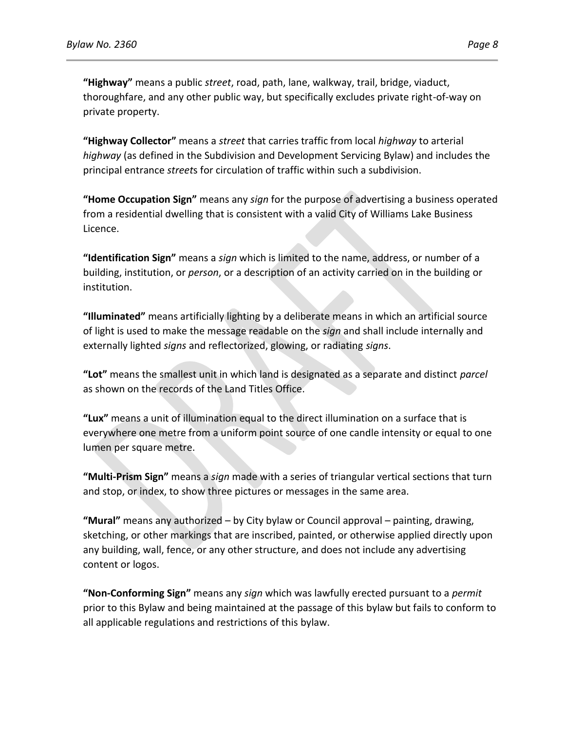**"Highway"** means a public *street*, road, path, lane, walkway, trail, bridge, viaduct, thoroughfare, and any other public way, but specifically excludes private right-of-way on private property.

**"Highway Collector"** means a *street* that carries traffic from local *highway* to arterial *highway* (as defined in the Subdivision and Development Servicing Bylaw) and includes the principal entrance *street*s for circulation of traffic within such a subdivision.

**"Home Occupation Sign"** means any *sign* for the purpose of advertising a business operated from a residential dwelling that is consistent with a valid City of Williams Lake Business Licence.

**"Identification Sign"** means a *sign* which is limited to the name, address, or number of a building, institution, or *person*, or a description of an activity carried on in the building or institution.

**"Illuminated"** means artificially lighting by a deliberate means in which an artificial source of light is used to make the message readable on the *sign* and shall include internally and externally lighted *signs* and reflectorized, glowing, or radiating *signs*.

**"Lot"** means the smallest unit in which land is designated as a separate and distinct *parcel* as shown on the records of the Land Titles Office.

**"Lux"** means a unit of illumination equal to the direct illumination on a surface that is everywhere one metre from a uniform point source of one candle intensity or equal to one lumen per square metre.

**"Multi-Prism Sign"** means a *sign* made with a series of triangular vertical sections that turn and stop, or index, to show three pictures or messages in the same area.

**"Mural"** means any authorized – by City bylaw or Council approval – painting, drawing, sketching, or other markings that are inscribed, painted, or otherwise applied directly upon any building, wall, fence, or any other structure, and does not include any advertising content or logos.

**"Non-Conforming Sign"** means any *sign* which was lawfully erected pursuant to a *permit* prior to this Bylaw and being maintained at the passage of this bylaw but fails to conform to all applicable regulations and restrictions of this bylaw.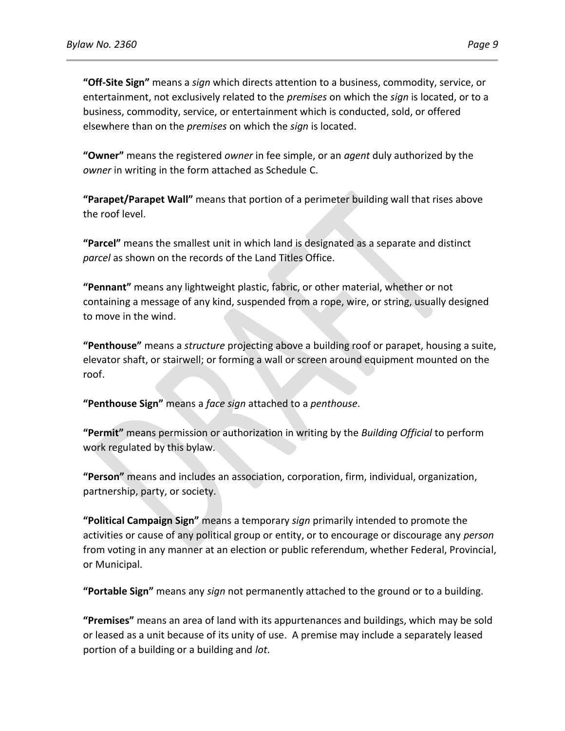**"Off-Site Sign"** means a *sign* which directs attention to a business, commodity, service, or entertainment, not exclusively related to the *premises* on which the *sign* is located, or to a business, commodity, service, or entertainment which is conducted, sold, or offered elsewhere than on the *premises* on which the *sign* is located.

**"Owner"** means the registered *owner* in fee simple, or an *agent* duly authorized by the *owner* in writing in the form attached as Schedule C.

**"Parapet/Parapet Wall"** means that portion of a perimeter building wall that rises above the roof level.

**"Parcel"** means the smallest unit in which land is designated as a separate and distinct *parcel* as shown on the records of the Land Titles Office.

**"Pennant"** means any lightweight plastic, fabric, or other material, whether or not containing a message of any kind, suspended from a rope, wire, or string, usually designed to move in the wind.

**"Penthouse"** means a *structure* projecting above a building roof or parapet, housing a suite, elevator shaft, or stairwell; or forming a wall or screen around equipment mounted on the roof.

**"Penthouse Sign"** means a *face sign* attached to a *penthouse*.

**"Permit"** means permission or authorization in writing by the *Building Official* to perform work regulated by this bylaw.

**"Person"** means and includes an association, corporation, firm, individual, organization, partnership, party, or society.

**"Political Campaign Sign"** means a temporary *sign* primarily intended to promote the activities or cause of any political group or entity, or to encourage or discourage any *person* from voting in any manner at an election or public referendum, whether Federal, Provincial, or Municipal.

**"Portable Sign"** means any *sign* not permanently attached to the ground or to a building.

**"Premises"** means an area of land with its appurtenances and buildings, which may be sold or leased as a unit because of its unity of use. A premise may include a separately leased portion of a building or a building and *lot*.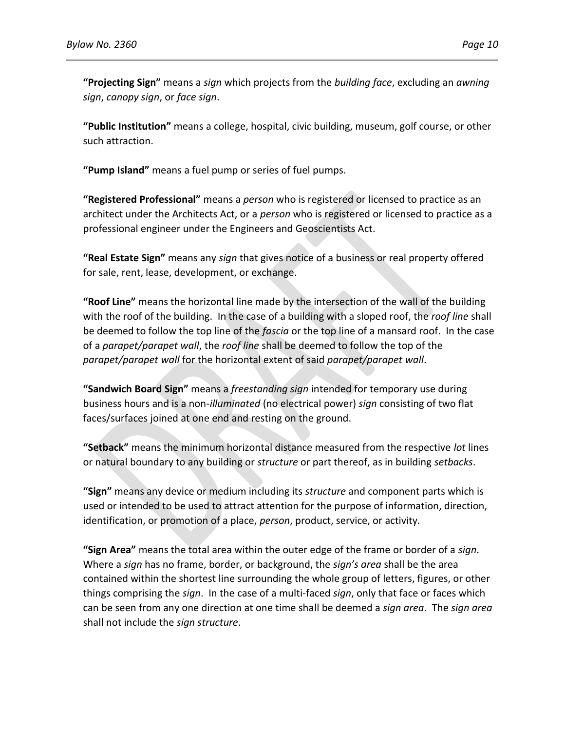**"Projecting Sign"** means a *sign* which projects from the *building face*, excluding an *awning sign*, *canopy sign*, or *face sign*.

**"Public Institution"** means a college, hospital, civic building, museum, golf course, or other such attraction.

**"Pump Island"** means a fuel pump or series of fuel pumps.

**"Registered Professional"** means a *person* who is registered or licensed to practice as an architect under the Architects Act, or a *person* who is registered or licensed to practice as a professional engineer under the Engineers and Geoscientists Act.

**"Real Estate Sign"** means any *sign* that gives notice of a business or real property offered for sale, rent, lease, development, or exchange.

**"Roof Line"** means the horizontal line made by the intersection of the wall of the building with the roof of the building. In the case of a building with a sloped roof, the *roof line* shall be deemed to follow the top line of the *fascia* or the top line of a mansard roof. In the case of a *parapet/parapet wall*, the *roof line* shall be deemed to follow the top of the *parapet/parapet wall* for the horizontal extent of said *parapet/parapet wall*.

**"Sandwich Board Sign"** means a *freestanding sign* intended for temporary use during business hours and is a non-*illuminated* (no electrical power) *sign* consisting of two flat faces/surfaces joined at one end and resting on the ground.

**"Setback"** means the minimum horizontal distance measured from the respective *lot* lines or natural boundary to any building or *structure* or part thereof, as in building *setbacks*.

**"Sign"** means any device or medium including its *structure* and component parts which is used or intended to be used to attract attention for the purpose of information, direction, identification, or promotion of a place, *person*, product, service, or activity.

**"Sign Area"** means the total area within the outer edge of the frame or border of a *sign*. Where a *sign* has no frame, border, or background, the *sign's area* shall be the area contained within the shortest line surrounding the whole group of letters, figures, or other things comprising the *sign*. In the case of a multi-faced *sign*, only that face or faces which can be seen from any one direction at one time shall be deemed a *sign area*. The *sign area* shall not include the *sign structure*.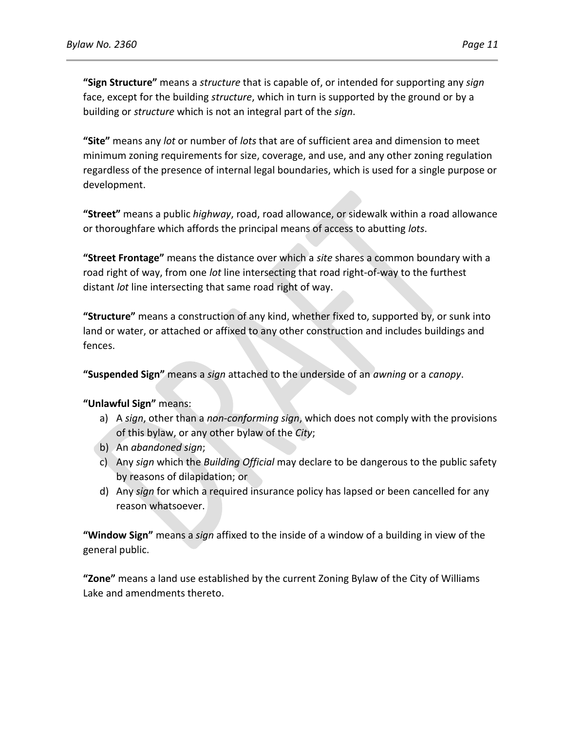**"Sign Structure"** means a *structure* that is capable of, or intended for supporting any *sign* face, except for the building *structure*, which in turn is supported by the ground or by a building or *structure* which is not an integral part of the *sign*.

**"Site"** means any *lot* or number of *lots* that are of sufficient area and dimension to meet minimum zoning requirements for size, coverage, and use, and any other zoning regulation regardless of the presence of internal legal boundaries, which is used for a single purpose or development.

**"Street"** means a public *highway*, road, road allowance, or sidewalk within a road allowance or thoroughfare which affords the principal means of access to abutting *lots*.

**"Street Frontage"** means the distance over which a *site* shares a common boundary with a road right of way, from one *lot* line intersecting that road right-of-way to the furthest distant *lot* line intersecting that same road right of way.

**"Structure"** means a construction of any kind, whether fixed to, supported by, or sunk into land or water, or attached or affixed to any other construction and includes buildings and fences.

**"Suspended Sign"** means a *sign* attached to the underside of an *awning* or a *canopy*.

**"Unlawful Sign"** means:

- a) A *sign*, other than a *non-conforming sign*, which does not comply with the provisions of this bylaw, or any other bylaw of the *City*;
- b) An *abandoned sign*;
- c) Any *sign* which the *Building Official* may declare to be dangerous to the public safety by reasons of dilapidation; or
- d) Any *sign* for which a required insurance policy has lapsed or been cancelled for any reason whatsoever.

**"Window Sign"** means a *sign* affixed to the inside of a window of a building in view of the general public.

**"Zone"** means a land use established by the current Zoning Bylaw of the City of Williams Lake and amendments thereto.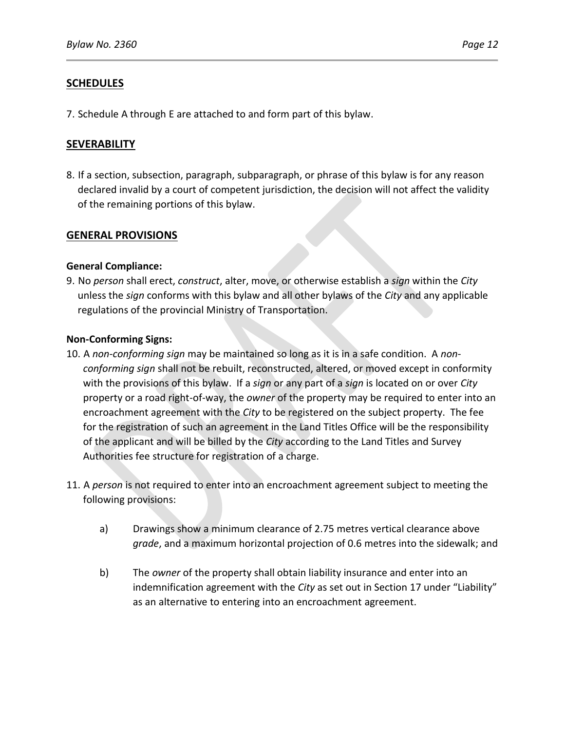## **SCHEDULES**

7. Schedule A through E are attached to and form part of this bylaw.

## **SEVERABILITY**

8. If a section, subsection, paragraph, subparagraph, or phrase of this bylaw is for any reason declared invalid by a court of competent jurisdiction, the decision will not affect the validity of the remaining portions of this bylaw.

## **GENERAL PROVISIONS**

### **General Compliance:**

9. No *person* shall erect, *construct*, alter, move, or otherwise establish a *sign* within the *City* unless the *sign* conforms with this bylaw and all other bylaws of the *City* and any applicable regulations of the provincial Ministry of Transportation.

### **Non-Conforming Signs:**

- 10. A *non-conforming sign* may be maintained so long as it is in a safe condition. A *nonconforming sign* shall not be rebuilt, reconstructed, altered, or moved except in conformity with the provisions of this bylaw. If a *sign* or any part of a *sign* is located on or over *City* property or a road right-of-way, the *owner* of the property may be required to enter into an encroachment agreement with the *City* to be registered on the subject property. The fee for the registration of such an agreement in the Land Titles Office will be the responsibility of the applicant and will be billed by the *City* according to the Land Titles and Survey Authorities fee structure for registration of a charge.
- 11. A *person* is not required to enter into an encroachment agreement subject to meeting the following provisions:
	- a) Drawings show a minimum clearance of 2.75 metres vertical clearance above *grade*, and a maximum horizontal projection of 0.6 metres into the sidewalk; and
	- b) The *owner* of the property shall obtain liability insurance and enter into an indemnification agreement with the *City* as set out in Section 17 under "Liability" as an alternative to entering into an encroachment agreement.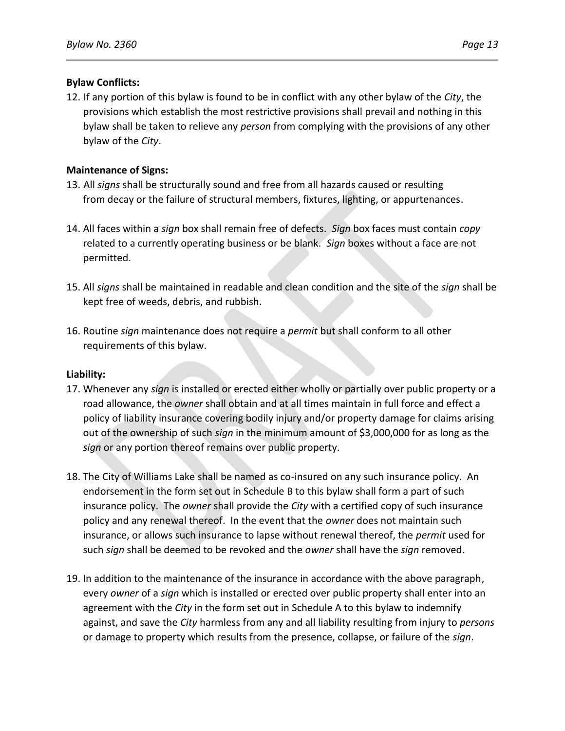## **Bylaw Conflicts:**

12. If any portion of this bylaw is found to be in conflict with any other bylaw of the *City*, the provisions which establish the most restrictive provisions shall prevail and nothing in this bylaw shall be taken to relieve any *person* from complying with the provisions of any other bylaw of the *City*.

## **Maintenance of Signs:**

- 13. All *signs* shall be structurally sound and free from all hazards caused or resulting from decay or the failure of structural members, fixtures, lighting, or appurtenances.
- 14. All faces within a *sign* box shall remain free of defects. *Sign* box faces must contain *copy* related to a currently operating business or be blank. *Sign* boxes without a face are not permitted.
- 15. All *signs* shall be maintained in readable and clean condition and the site of the *sign* shall be kept free of weeds, debris, and rubbish.
- 16. Routine *sign* maintenance does not require a *permit* but shall conform to all other requirements of this bylaw.

### **Liability:**

- 17. Whenever any *sign* is installed or erected either wholly or partially over public property or a road allowance, the *owner* shall obtain and at all times maintain in full force and effect a policy of liability insurance covering bodily injury and/or property damage for claims arising out of the ownership of such *sign* in the minimum amount of \$3,000,000 for as long as the *sign* or any portion thereof remains over public property.
- 18. The City of Williams Lake shall be named as co-insured on any such insurance policy. An endorsement in the form set out in Schedule B to this bylaw shall form a part of such insurance policy. The *owner* shall provide the *City* with a certified copy of such insurance policy and any renewal thereof. In the event that the *owner* does not maintain such insurance, or allows such insurance to lapse without renewal thereof, the *permit* used for such *sign* shall be deemed to be revoked and the *owner* shall have the *sign* removed.
- 19. In addition to the maintenance of the insurance in accordance with the above paragraph, every *owner* of a *sign* which is installed or erected over public property shall enter into an agreement with the *City* in the form set out in Schedule A to this bylaw to indemnify against, and save the *City* harmless from any and all liability resulting from injury to *persons* or damage to property which results from the presence, collapse, or failure of the *sign*.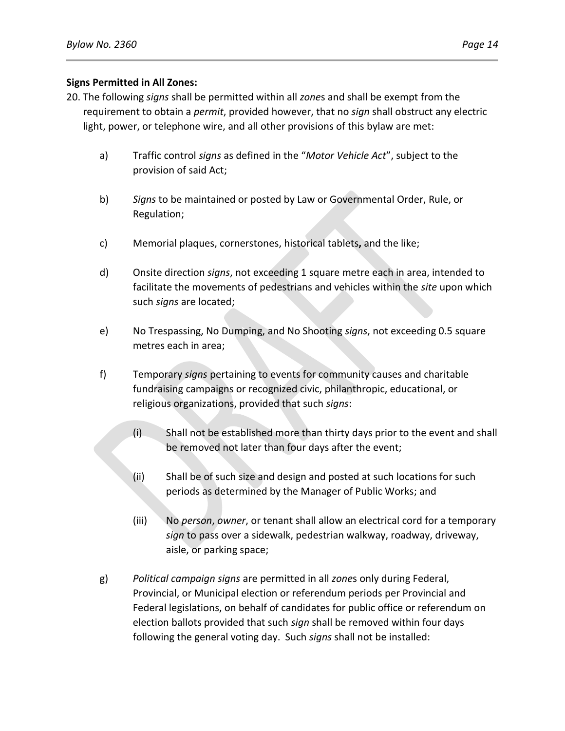## **Signs Permitted in All Zones:**

- 20. The following *signs* shall be permitted within all *zone*s and shall be exempt from the requirement to obtain a *permit*, provided however, that no *sign* shall obstruct any electric light, power, or telephone wire, and all other provisions of this bylaw are met:
	- a) Traffic control *signs* as defined in the "*Motor Vehicle Act*", subject to the provision of said Act;
	- b) *Signs* to be maintained or posted by Law or Governmental Order, Rule, or Regulation;
	- c) Memorial plaques, cornerstones, historical tablets**,** and the like;
	- d) Onsite direction *signs*, not exceeding 1 square metre each in area, intended to facilitate the movements of pedestrians and vehicles within the *site* upon which such *signs* are located;
	- e) No Trespassing, No Dumping, and No Shooting *signs*, not exceeding 0.5 square metres each in area;
	- f) Temporary *signs* pertaining to events for community causes and charitable fundraising campaigns or recognized civic, philanthropic, educational, or religious organizations, provided that such *signs*:
		- (i) Shall not be established more than thirty days prior to the event and shall be removed not later than four days after the event;
		- (ii) Shall be of such size and design and posted at such locations for such periods as determined by the Manager of Public Works; and
		- (iii) No *person*, *owner*, or tenant shall allow an electrical cord for a temporary *sign* to pass over a sidewalk, pedestrian walkway, roadway, driveway, aisle, or parking space;
	- g) *Political campaign signs* are permitted in all *zone*s only during Federal, Provincial, or Municipal election or referendum periods per Provincial and Federal legislations, on behalf of candidates for public office or referendum on election ballots provided that such *sign* shall be removed within four days following the general voting day. Such *signs* shall not be installed: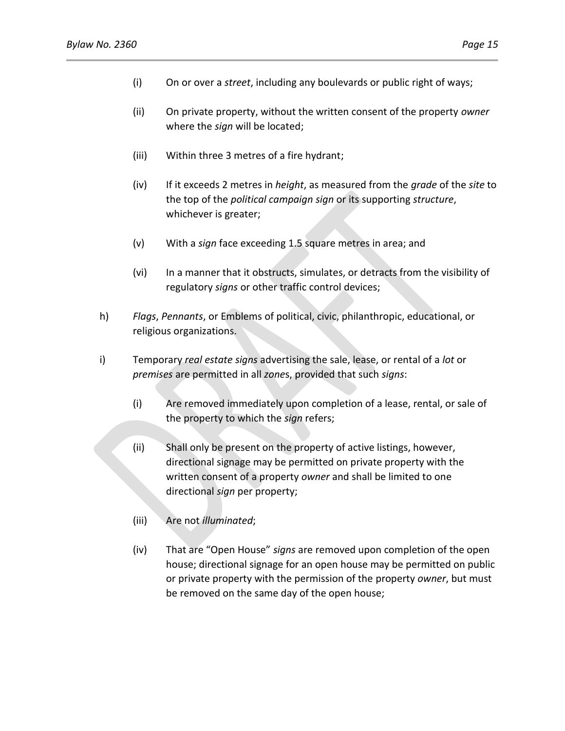- (i) On or over a *street*, including any boulevards or public right of ways;
- (ii) On private property, without the written consent of the property *owner* where the *sign* will be located;
- (iii) Within three 3 metres of a fire hydrant;
- (iv) If it exceeds 2 metres in *height*, as measured from the *grade* of the *site* to the top of the *political campaign sign* or its supporting *structure*, whichever is greater;
- (v) With a *sign* face exceeding 1.5 square metres in area; and
- (vi) In a manner that it obstructs, simulates, or detracts from the visibility of regulatory *signs* or other traffic control devices;
- h) *Flags*, *Pennants*, or Emblems of political, civic, philanthropic, educational, or religious organizations.
- i) Temporary *real estate signs* advertising the sale, lease, or rental of a *lot* or *premises* are permitted in all *zone*s, provided that such *signs*:
	- (i) Are removed immediately upon completion of a lease, rental, or sale of the property to which the *sign* refers;
	- (ii) Shall only be present on the property of active listings, however, directional signage may be permitted on private property with the written consent of a property *owner* and shall be limited to one directional *sign* per property;
	- (iii) Are not *illuminated*;
	- (iv) That are "Open House" *signs* are removed upon completion of the open house; directional signage for an open house may be permitted on public or private property with the permission of the property *owner*, but must be removed on the same day of the open house;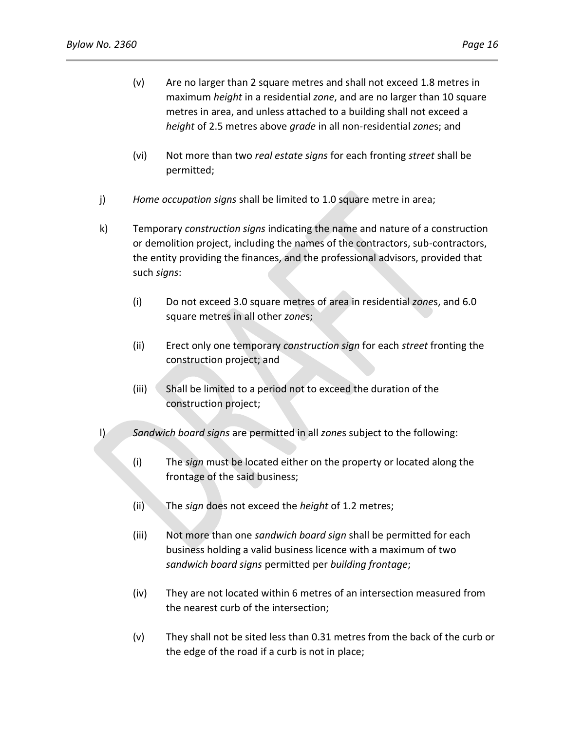- (v) Are no larger than 2 square metres and shall not exceed 1.8 metres in maximum *height* in a residential *zone*, and are no larger than 10 square metres in area, and unless attached to a building shall not exceed a *height* of 2.5 metres above *grade* in all non-residential *zone*s; and
- (vi) Not more than two *real estate signs* for each fronting *street* shall be permitted;
- j) *Home occupation signs* shall be limited to 1.0 square metre in area;
- k) Temporary *construction signs* indicating the name and nature of a construction or demolition project, including the names of the contractors, sub-contractors, the entity providing the finances, and the professional advisors, provided that such *signs*:
	- (i) Do not exceed 3.0 square metres of area in residential *zone*s, and 6.0 square metres in all other *zone*s;
	- (ii) Erect only one temporary *construction sign* for each *street* fronting the construction project; and
	- (iii) Shall be limited to a period not to exceed the duration of the construction project;
- l) *Sandwich board signs* are permitted in all *zone*s subject to the following:
	- (i) The *sign* must be located either on the property or located along the frontage of the said business;
	- (ii) The *sign* does not exceed the *height* of 1.2 metres;
	- (iii) Not more than one *sandwich board sign* shall be permitted for each business holding a valid business licence with a maximum of two *sandwich board signs* permitted per *building frontage*;
	- (iv) They are not located within 6 metres of an intersection measured from the nearest curb of the intersection;
	- (v) They shall not be sited less than 0.31 metres from the back of the curb or the edge of the road if a curb is not in place;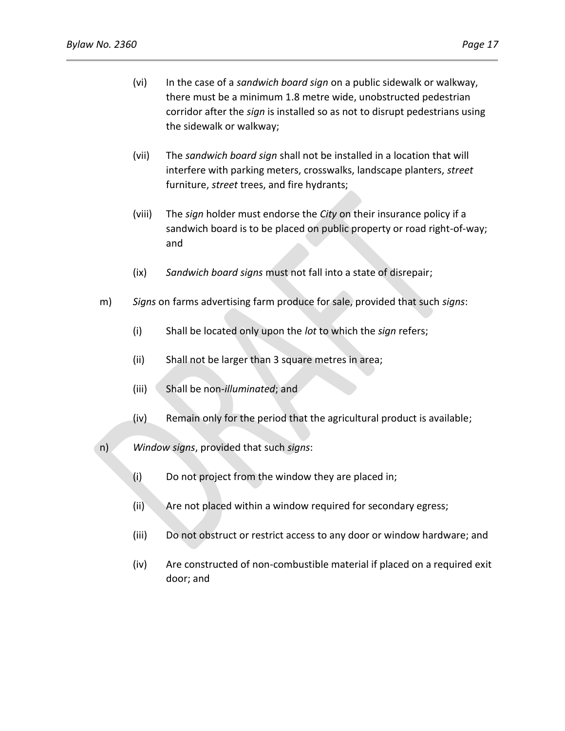- (vi) In the case of a *sandwich board sign* on a public sidewalk or walkway, there must be a minimum 1.8 metre wide, unobstructed pedestrian corridor after the *sign* is installed so as not to disrupt pedestrians using the sidewalk or walkway;
- (vii) The *sandwich board sign* shall not be installed in a location that will interfere with parking meters, crosswalks, landscape planters, *street* furniture, *street* trees, and fire hydrants;
- (viii) The *sign* holder must endorse the *City* on their insurance policy if a sandwich board is to be placed on public property or road right-of-way; and
- (ix) *Sandwich board signs* must not fall into a state of disrepair;
- m) *Signs* on farms advertising farm produce for sale, provided that such *signs*:
	- (i) Shall be located only upon the *lot* to which the *sign* refers;
	- (ii) Shall not be larger than 3 square metres in area;
	- (iii) Shall be non-*illuminated*; and
	- (iv) Remain only for the period that the agricultural product is available;
- n) *Window signs*, provided that such *signs*:
	- (i) Do not project from the window they are placed in;
	- (ii) Are not placed within a window required for secondary egress;
	- (iii) Do not obstruct or restrict access to any door or window hardware; and
	- (iv) Are constructed of non-combustible material if placed on a required exit door; and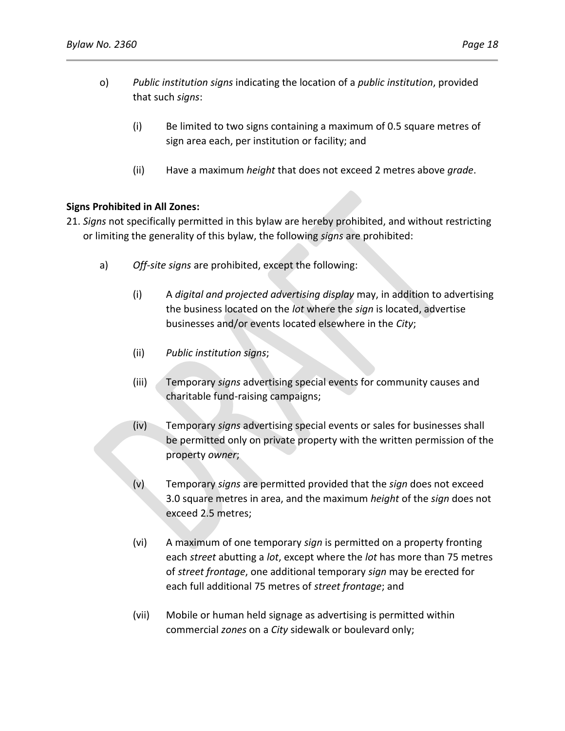- o) *Public institution signs* indicating the location of a *public institution*, provided that such *signs*:
	- (i) Be limited to two signs containing a maximum of 0.5 square metres of sign area each, per institution or facility; and
	- (ii) Have a maximum *height* that does not exceed 2 metres above *grade*.

### **Signs Prohibited in All Zones:**

- 21. *Signs* not specifically permitted in this bylaw are hereby prohibited, and without restricting or limiting the generality of this bylaw, the following *signs* are prohibited:
	- a) *Off-site signs* are prohibited, except the following:
		- (i) A *digital and projected advertising display* may, in addition to advertising the business located on the *lot* where the *sign* is located, advertise businesses and/or events located elsewhere in the *City*;
		- (ii) *Public institution signs*;
		- (iii) Temporary *signs* advertising special events for community causes and charitable fund-raising campaigns;
		- (iv) Temporary *signs* advertising special events or sales for businesses shall be permitted only on private property with the written permission of the property *owner*;
		- (v) Temporary *signs* are permitted provided that the *sign* does not exceed 3.0 square metres in area, and the maximum *height* of the *sign* does not exceed 2.5 metres;
		- (vi) A maximum of one temporary *sign* is permitted on a property fronting each *street* abutting a *lot*, except where the *lot* has more than 75 metres of *street frontage*, one additional temporary *sign* may be erected for each full additional 75 metres of *street frontage*; and
		- (vii) Mobile or human held signage as advertising is permitted within commercial *zones* on a *City* sidewalk or boulevard only;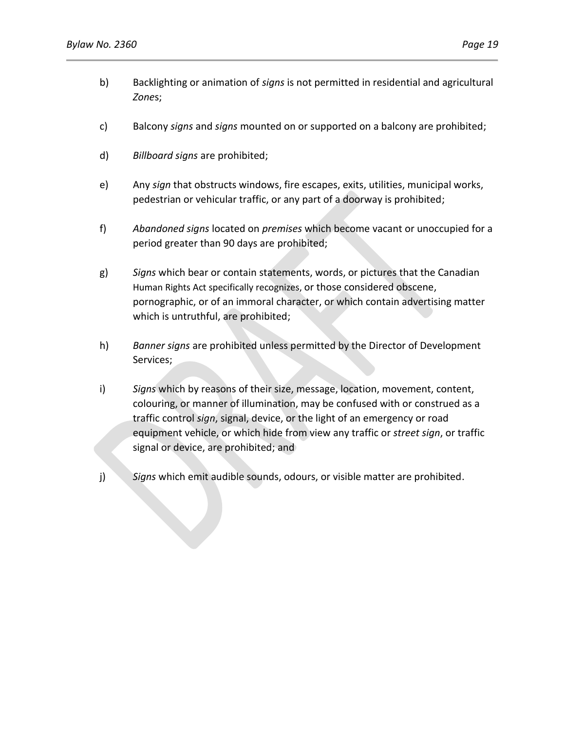- b) Backlighting or animation of *signs* is not permitted in residential and agricultural *Zone*s;
- c) Balcony *signs* and *signs* mounted on or supported on a balcony are prohibited;
- d) *Billboard signs* are prohibited;
- e) Any *sign* that obstructs windows, fire escapes, exits, utilities, municipal works, pedestrian or vehicular traffic, or any part of a doorway is prohibited;
- f) *Abandoned signs* located on *premises* which become vacant or unoccupied for a period greater than 90 days are prohibited;
- g) *Signs* which bear or contain statements, words, or pictures that the Canadian Human Rights Act specifically recognizes, or those considered obscene, pornographic, or of an immoral character, or which contain advertising matter which is untruthful, are prohibited;
- h) *Banner signs* are prohibited unless permitted by the Director of Development Services;
- i) *Signs* which by reasons of their size, message, location, movement, content, colouring, or manner of illumination, may be confused with or construed as a traffic control *sign*, signal, device, or the light of an emergency or road equipment vehicle, or which hide from view any traffic or *street sign*, or traffic signal or device, are prohibited; and
- j) *Signs* which emit audible sounds, odours, or visible matter are prohibited.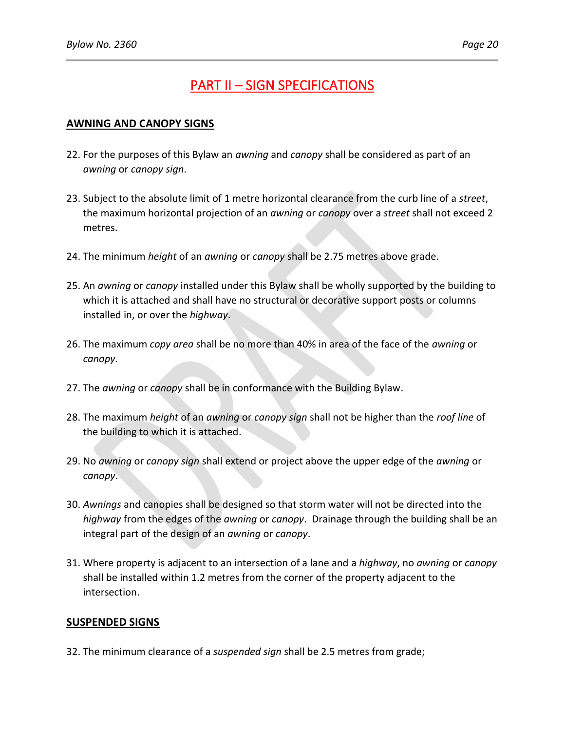# PART II – SIGN SPECIFICATIONS

## **AWNING AND CANOPY SIGNS**

- 22. For the purposes of this Bylaw an *awning* and *canopy* shall be considered as part of an *awning* or *canopy sign*.
- 23. Subject to the absolute limit of 1 metre horizontal clearance from the curb line of a *street*, the maximum horizontal projection of an *awning* or *canopy* over a *street* shall not exceed 2 metres.
- 24. The minimum *height* of an *awning* or *canopy* shall be 2.75 metres above grade.
- 25. An *awning* or *canopy* installed under this Bylaw shall be wholly supported by the building to which it is attached and shall have no structural or decorative support posts or columns installed in, or over the *highway*.
- 26. The maximum *copy area* shall be no more than 40% in area of the face of the *awning* or *canopy*.
- 27. The *awning* or *canopy* shall be in conformance with the Building Bylaw.
- 28. The maximum *height* of an *awning* or *canopy sign* shall not be higher than the *roof line* of the building to which it is attached.
- 29. No *awning* or *canopy sign* shall extend or project above the upper edge of the *awning* or *canopy*.
- 30. *Awnings* and canopies shall be designed so that storm water will not be directed into the *highway* from the edges of the *awning* or *canopy*. Drainage through the building shall be an integral part of the design of an *awning* or *canopy*.
- 31. Where property is adjacent to an intersection of a lane and a *highway*, no *awning* or *canopy* shall be installed within 1.2 metres from the corner of the property adjacent to the intersection.

## **SUSPENDED SIGNS**

32. The minimum clearance of a *suspended sign* shall be 2.5 metres from grade;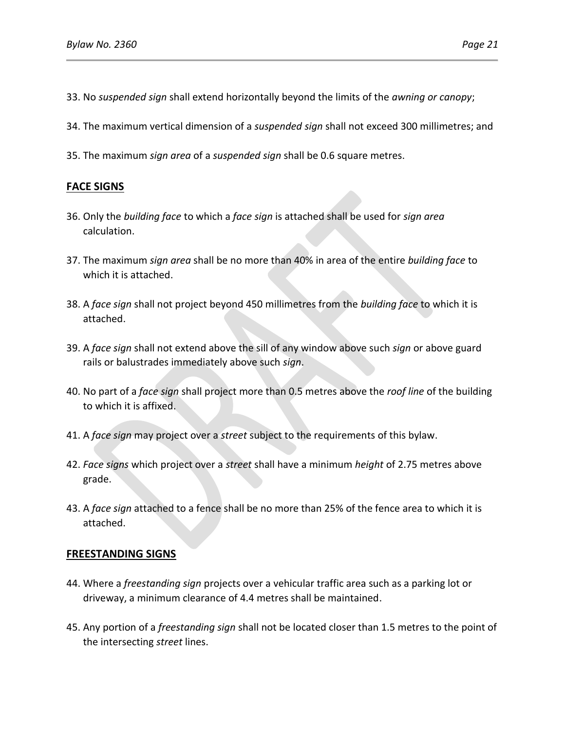- 33. No *suspended sign* shall extend horizontally beyond the limits of the *awning or canopy*;
- 34. The maximum vertical dimension of a *suspended sign* shall not exceed 300 millimetres; and
- 35. The maximum *sign area* of a *suspended sign* shall be 0.6 square metres.

## **FACE SIGNS**

- 36. Only the *building face* to which a *face sign* is attached shall be used for *sign area* calculation.
- 37. The maximum *sign area* shall be no more than 40% in area of the entire *building face* to which it is attached.
- 38. A *face sign* shall not project beyond 450 millimetres from the *building face* to which it is attached.
- 39. A *face sign* shall not extend above the sill of any window above such *sign* or above guard rails or balustrades immediately above such *sign*.
- 40. No part of a *face sign* shall project more than 0.5 metres above the *roof line* of the building to which it is affixed.
- 41. A *face sign* may project over a *street* subject to the requirements of this bylaw.
- 42. *Face signs* which project over a *street* shall have a minimum *height* of 2.75 metres above grade.
- 43. A *face sign* attached to a fence shall be no more than 25% of the fence area to which it is attached.

## **FREESTANDING SIGNS**

- 44. Where a *freestanding sign* projects over a vehicular traffic area such as a parking lot or driveway, a minimum clearance of 4.4 metres shall be maintained.
- 45. Any portion of a *freestanding sign* shall not be located closer than 1.5 metres to the point of the intersecting *street* lines.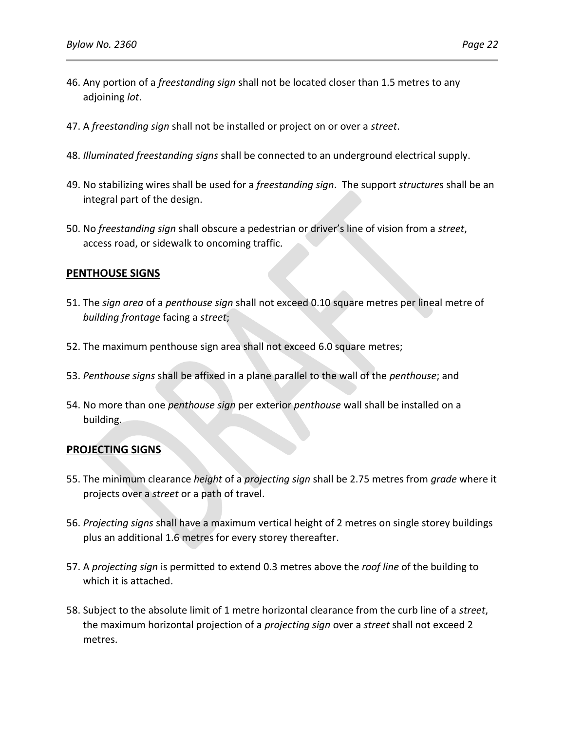- 46. Any portion of a *freestanding sign* shall not be located closer than 1.5 metres to any adjoining *lot*.
- 47. A *freestanding sign* shall not be installed or project on or over a *street*.
- 48. *Illuminated freestanding signs* shall be connected to an underground electrical supply.
- 49. No stabilizing wires shall be used for a *freestanding sign*. The support *structure*s shall be an integral part of the design.
- 50. No *freestanding sign* shall obscure a pedestrian or driver's line of vision from a *street*, access road, or sidewalk to oncoming traffic.

## **PENTHOUSE SIGNS**

- 51. The *sign area* of a *penthouse sign* shall not exceed 0.10 square metres per lineal metre of *building frontage* facing a *street*;
- 52. The maximum penthouse sign area shall not exceed 6.0 square metres;
- 53. *Penthouse signs* shall be affixed in a plane parallel to the wall of the *penthouse*; and
- 54. No more than one *penthouse sign* per exterior *penthouse* wall shall be installed on a building.

### **PROJECTING SIGNS**

- 55. The minimum clearance *height* of a *projecting sign* shall be 2.75 metres from *grade* where it projects over a *street* or a path of travel.
- 56. *Projecting signs* shall have a maximum vertical height of 2 metres on single storey buildings plus an additional 1.6 metres for every storey thereafter.
- 57. A *projecting sign* is permitted to extend 0.3 metres above the *roof line* of the building to which it is attached.
- 58. Subject to the absolute limit of 1 metre horizontal clearance from the curb line of a *street*, the maximum horizontal projection of a *projecting sign* over a *street* shall not exceed 2 metres.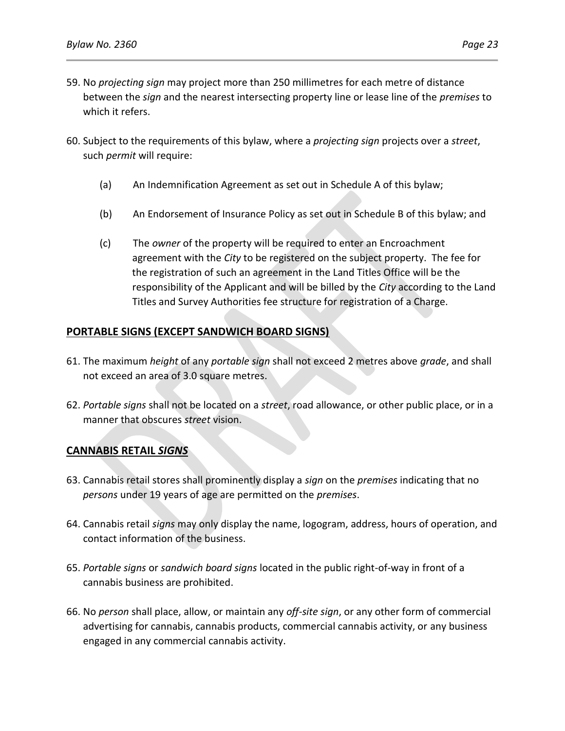- 59. No *projecting sign* may project more than 250 millimetres for each metre of distance between the *sign* and the nearest intersecting property line or lease line of the *premises* to which it refers.
- 60. Subject to the requirements of this bylaw, where a *projecting sign* projects over a *street*, such *permit* will require:
	- (a) An Indemnification Agreement as set out in Schedule A of this bylaw;
	- (b) An Endorsement of Insurance Policy as set out in Schedule B of this bylaw; and
	- (c) The *owner* of the property will be required to enter an Encroachment agreement with the *City* to be registered on the subject property. The fee for the registration of such an agreement in the Land Titles Office will be the responsibility of the Applicant and will be billed by the *City* according to the Land Titles and Survey Authorities fee structure for registration of a Charge.

# **PORTABLE SIGNS (EXCEPT SANDWICH BOARD SIGNS)**

- 61. The maximum *height* of any *portable sign* shall not exceed 2 metres above *grade*, and shall not exceed an area of 3.0 square metres.
- 62. *Portable signs* shall not be located on a *street*, road allowance, or other public place, or in a manner that obscures *street* vision.

# **CANNABIS RETAIL** *SIGNS*

- 63. Cannabis retail stores shall prominently display a *sign* on the *premises* indicating that no *persons* under 19 years of age are permitted on the *premises*.
- 64. Cannabis retail *signs* may only display the name, logogram, address, hours of operation, and contact information of the business.
- 65. *Portable signs* or *sandwich board signs* located in the public right-of-way in front of a cannabis business are prohibited.
- 66. No *person* shall place, allow, or maintain any *off-site sign*, or any other form of commercial advertising for cannabis, cannabis products, commercial cannabis activity, or any business engaged in any commercial cannabis activity.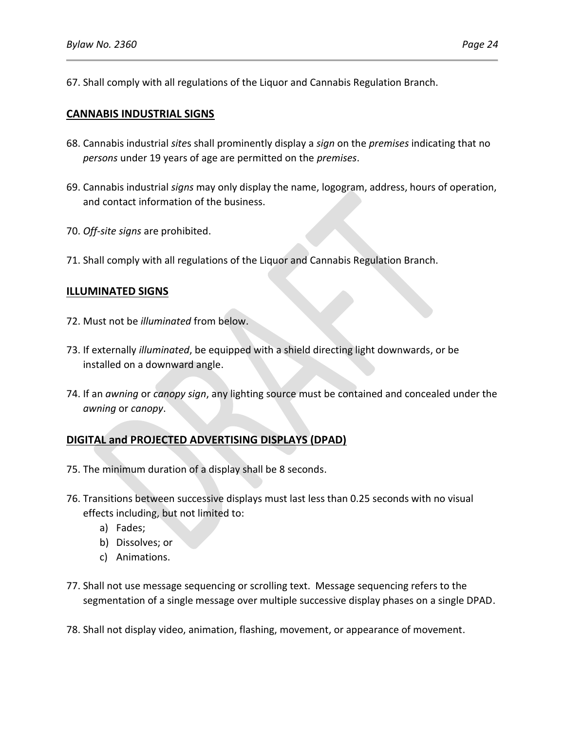67. Shall comply with all regulations of the Liquor and Cannabis Regulation Branch.

### **CANNABIS INDUSTRIAL SIGNS**

- 68. Cannabis industrial *site*s shall prominently display a *sign* on the *premises* indicating that no *persons* under 19 years of age are permitted on the *premises*.
- 69. Cannabis industrial *signs* may only display the name, logogram, address, hours of operation, and contact information of the business.
- 70. *Off-site signs* are prohibited.
- 71. Shall comply with all regulations of the Liquor and Cannabis Regulation Branch.

### **ILLUMINATED SIGNS**

- 72. Must not be *illuminated* from below.
- 73. If externally *illuminated*, be equipped with a shield directing light downwards, or be installed on a downward angle.
- 74. If an *awning* or *canopy sign*, any lighting source must be contained and concealed under the *awning* or *canopy*.

# **DIGITAL and PROJECTED ADVERTISING DISPLAYS (DPAD)**

- 75. The minimum duration of a display shall be 8 seconds.
- 76. Transitions between successive displays must last less than 0.25 seconds with no visual effects including, but not limited to:
	- a) Fades;
	- b) Dissolves; or
	- c) Animations.
- 77. Shall not use message sequencing or scrolling text. Message sequencing refers to the segmentation of a single message over multiple successive display phases on a single DPAD.
- 78. Shall not display video, animation, flashing, movement, or appearance of movement.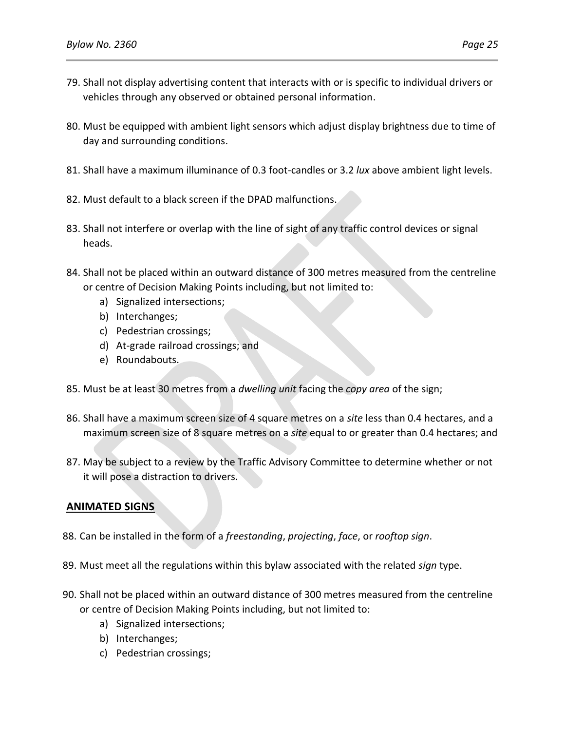- 79. Shall not display advertising content that interacts with or is specific to individual drivers or vehicles through any observed or obtained personal information.
- 80. Must be equipped with ambient light sensors which adjust display brightness due to time of day and surrounding conditions.
- 81. Shall have a maximum illuminance of 0.3 foot-candles or 3.2 *lux* above ambient light levels.
- 82. Must default to a black screen if the DPAD malfunctions.
- 83. Shall not interfere or overlap with the line of sight of any traffic control devices or signal heads.
- 84. Shall not be placed within an outward distance of 300 metres measured from the centreline or centre of Decision Making Points including, but not limited to:
	- a) Signalized intersections;
	- b) Interchanges;
	- c) Pedestrian crossings;
	- d) At-grade railroad crossings; and
	- e) Roundabouts.
- 85. Must be at least 30 metres from a *dwelling unit* facing the *copy area* of the sign;
- 86. Shall have a maximum screen size of 4 square metres on a *site* less than 0.4 hectares, and a maximum screen size of 8 square metres on a *site* equal to or greater than 0.4 hectares; and
- 87. May be subject to a review by the Traffic Advisory Committee to determine whether or not it will pose a distraction to drivers.

# **ANIMATED SIGNS**

- 88. Can be installed in the form of a *freestanding*, *projecting*, *face*, or *rooftop sign*.
- 89. Must meet all the regulations within this bylaw associated with the related *sign* type.
- 90. Shall not be placed within an outward distance of 300 metres measured from the centreline or centre of Decision Making Points including, but not limited to:
	- a) Signalized intersections;
	- b) Interchanges;
	- c) Pedestrian crossings;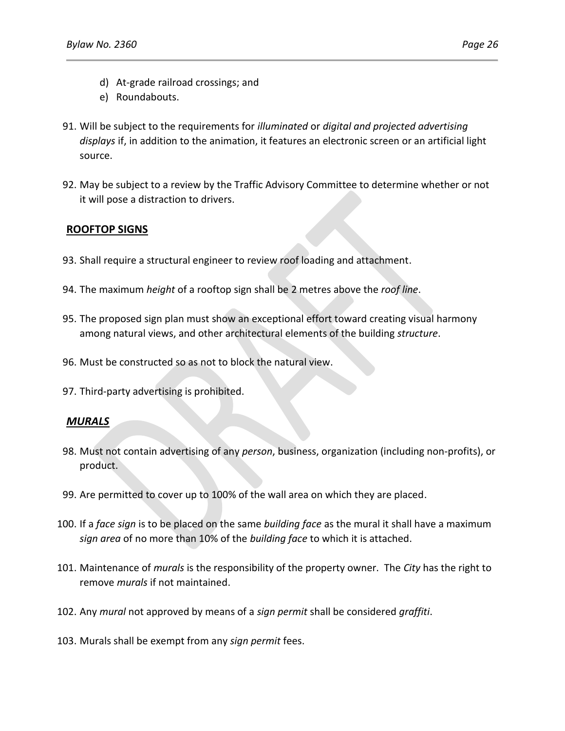- d) At-grade railroad crossings; and
- e) Roundabouts.
- 91. Will be subject to the requirements for *illuminated* or *digital and projected advertising displays* if, in addition to the animation, it features an electronic screen or an artificial light source.
- 92. May be subject to a review by the Traffic Advisory Committee to determine whether or not it will pose a distraction to drivers.

## **ROOFTOP SIGNS**

- 93. Shall require a structural engineer to review roof loading and attachment.
- 94. The maximum *height* of a rooftop sign shall be 2 metres above the *roof line*.
- 95. The proposed sign plan must show an exceptional effort toward creating visual harmony among natural views, and other architectural elements of the building *structure*.
- 96. Must be constructed so as not to block the natural view.
- 97. Third-party advertising is prohibited.

### *MURALS*

- 98. Must not contain advertising of any *person*, business, organization (including non-profits), or product.
- 99. Are permitted to cover up to 100% of the wall area on which they are placed.
- 100. If a *face sign* is to be placed on the same *building face* as the mural it shall have a maximum *sign area* of no more than 10% of the *building face* to which it is attached.
- 101. Maintenance of *murals* is the responsibility of the property owner. The *City* has the right to remove *murals* if not maintained.
- 102. Any *mural* not approved by means of a *sign permit* shall be considered *graffiti*.
- 103. Murals shall be exempt from any *sign permit* fees.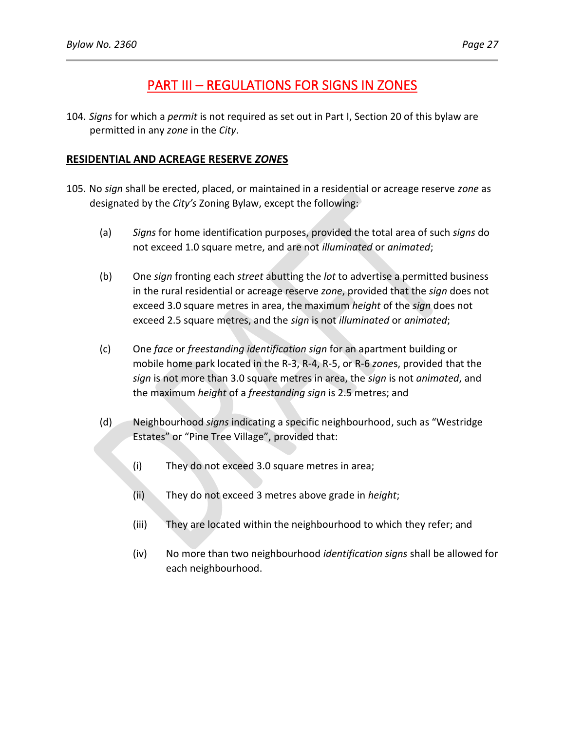# PART III – REGULATIONS FOR SIGNS IN ZONES

104. *Signs* for which a *permit* is not required as set out in Part I, Section 20 of this bylaw are permitted in any *zone* in the *City*.

## **RESIDENTIAL AND ACREAGE RESERVE** *ZONE***S**

- 105. No *sign* shall be erected, placed, or maintained in a residential or acreage reserve *zone* as designated by the *City's* Zoning Bylaw, except the following:
	- (a) *Signs* for home identification purposes, provided the total area of such *signs* do not exceed 1.0 square metre, and are not *illuminated* or *animated*;
	- (b) One *sign* fronting each *street* abutting the *lot* to advertise a permitted business in the rural residential or acreage reserve *zone*, provided that the *sign* does not exceed 3.0 square metres in area, the maximum *height* of the *sign* does not exceed 2.5 square metres, and the *sign* is not *illuminated* or *animated*;
	- (c) One *face* or *freestanding identification sign* for an apartment building or mobile home park located in the R-3, R-4, R-5, or R-6 *zone*s, provided that the *sign* is not more than 3.0 square metres in area, the *sign* is not *animated*, and the maximum *height* of a *freestanding sign* is 2.5 metres; and
	- (d) Neighbourhood *signs* indicating a specific neighbourhood, such as "Westridge Estates" or "Pine Tree Village", provided that:
		- (i) They do not exceed 3.0 square metres in area;
		- (ii) They do not exceed 3 metres above grade in *height*;
		- (iii) They are located within the neighbourhood to which they refer; and
		- (iv) No more than two neighbourhood *identification signs* shall be allowed for each neighbourhood.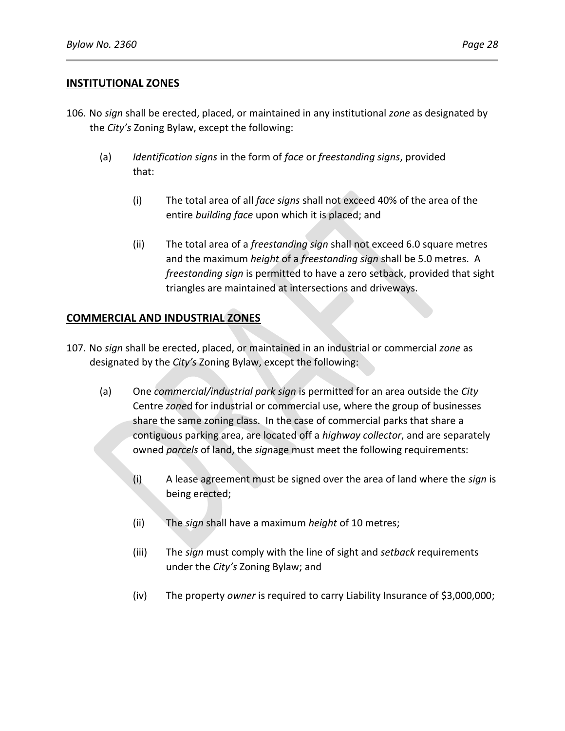### **INSTITUTIONAL ZONES**

- 106. No *sign* shall be erected, placed, or maintained in any institutional *zone* as designated by the *City's* Zoning Bylaw, except the following:
	- (a) *Identification signs* in the form of *face* or *freestanding signs*, provided that:
		- (i) The total area of all *face signs* shall not exceed 40% of the area of the entire *building face* upon which it is placed; and
		- (ii) The total area of a *freestanding sign* shall not exceed 6.0 square metres and the maximum *height* of a *freestanding sign* shall be 5.0 metres. A *freestanding sign* is permitted to have a zero setback, provided that sight triangles are maintained at intersections and driveways.

## **COMMERCIAL AND INDUSTRIAL ZONES**

- 107. No *sign* shall be erected, placed, or maintained in an industrial or commercial *zone* as designated by the *City's* Zoning Bylaw, except the following:
	- (a) One *commercial/industrial park sign* is permitted for an area outside the *City* Centre *zone*d for industrial or commercial use, where the group of businesses share the same zoning class. In the case of commercial parks that share a contiguous parking area, are located off a *highway collector*, and are separately owned *parcels* of land, the *sign*age must meet the following requirements:
		- (i) A lease agreement must be signed over the area of land where the *sign* is being erected;
		- (ii) The *sign* shall have a maximum *height* of 10 metres;
		- (iii) The *sign* must comply with the line of sight and *setback* requirements under the *City's* Zoning Bylaw; and
		- (iv) The property *owner* is required to carry Liability Insurance of \$3,000,000;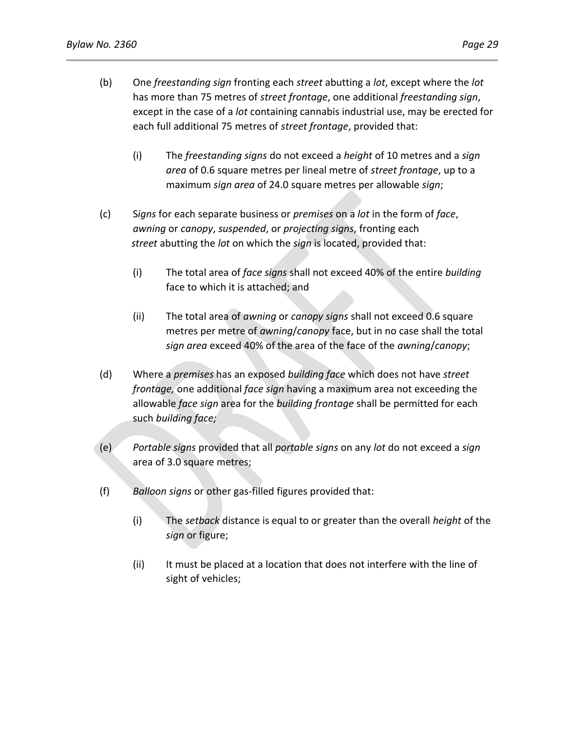- (b) One *freestanding sign* fronting each *street* abutting a *lot*, except where the *lot* has more than 75 metres of *street frontage*, one additional *freestanding sign*, except in the case of a *lot* containing cannabis industrial use, may be erected for each full additional 75 metres of *street frontage*, provided that:
	- (i) The *freestanding signs* do not exceed a *height* of 10 metres and a *sign area* of 0.6 square metres per lineal metre of *street frontage*, up to a maximum *sign area* of 24.0 square metres per allowable *sign*;
- (c) S*igns* for each separate business or *premises* on a *lot* in the form of *face*, *awning* or *canopy*, *suspended*, or *projecting signs*, fronting each  *street* abutting the *lot* on which the *sign* is located, provided that:
	- (i) The total area of *face signs* shall not exceed 40% of the entire *building*  face to which it is attached; and
	- (ii) The total area of *awning* or *canopy signs* shall not exceed 0.6 square metres per metre of *awning*/*canopy* face, but in no case shall the total *sign area* exceed 40% of the area of the face of the *awning*/*canopy*;
- (d) Where a *premises* has an exposed *building face* which does not have *street frontage,* one additional *face sign* having a maximum area not exceeding the allowable *face sign* area for the *building frontage* shall be permitted for each such *building face;*
- (e) *Portable signs* provided that all *portable signs* on any *lot* do not exceed a *sign* area of 3.0 square metres;
- (f) *Balloon signs* or other gas-filled figures provided that:
	- (i) The *setback* distance is equal to or greater than the overall *height* of the *sign* or figure;
	- (ii) It must be placed at a location that does not interfere with the line of sight of vehicles;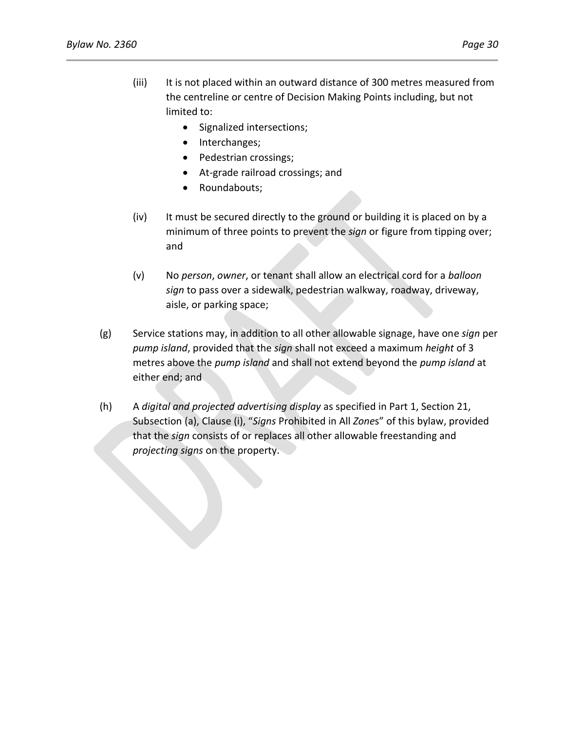- (iii) It is not placed within an outward distance of 300 metres measured from the centreline or centre of Decision Making Points including, but not limited to:
	- Signalized intersections;
	- Interchanges;
	- Pedestrian crossings;
	- At-grade railroad crossings; and
	- Roundabouts;
- (iv) It must be secured directly to the ground or building it is placed on by a minimum of three points to prevent the *sign* or figure from tipping over; and
- (v) No *person*, *owner*, or tenant shall allow an electrical cord for a *balloon sign* to pass over a sidewalk, pedestrian walkway, roadway, driveway, aisle, or parking space;
- (g) Service stations may, in addition to all other allowable signage, have one *sign* per *pump island*, provided that the *sign* shall not exceed a maximum *height* of 3 metres above the *pump island* and shall not extend beyond the *pump island* at either end; and
- (h) A *digital and projected advertising display* as specified in Part 1, Section 21, Subsection (a), Clause (i), "*Signs* Prohibited in All *Zone*s" of this bylaw, provided that the *sign* consists of or replaces all other allowable freestanding and *projecting signs* on the property.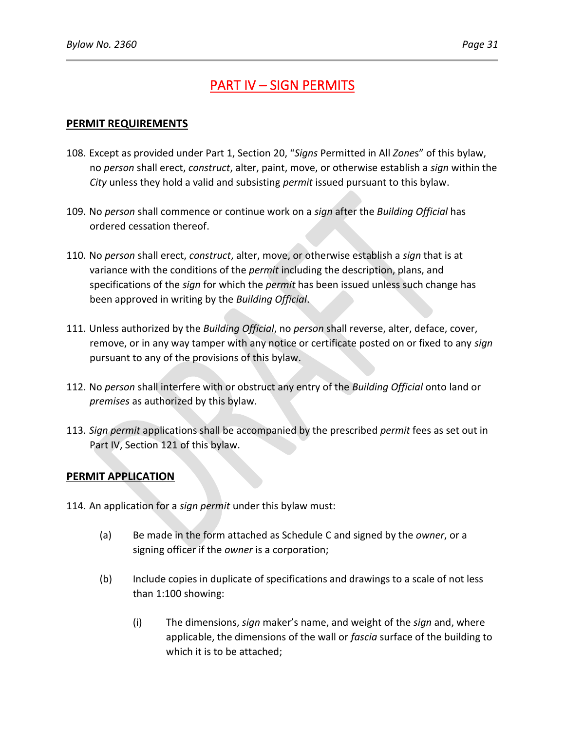# PART IV – SIGN PERMITS

## **PERMIT REQUIREMENTS**

- 108. Except as provided under Part 1, Section 20, "*Signs* Permitted in All *Zone*s" of this bylaw, no *person* shall erect, *construct*, alter, paint, move, or otherwise establish a *sign* within the *City* unless they hold a valid and subsisting *permit* issued pursuant to this bylaw.
- 109. No *person* shall commence or continue work on a *sign* after the *Building Official* has ordered cessation thereof.
- 110. No *person* shall erect, *construct*, alter, move, or otherwise establish a *sign* that is at variance with the conditions of the *permit* including the description, plans, and specifications of the *sign* for which the *permit* has been issued unless such change has been approved in writing by the *Building Official*.
- 111. Unless authorized by the *Building Official*, no *person* shall reverse, alter, deface, cover, remove, or in any way tamper with any notice or certificate posted on or fixed to any *sign* pursuant to any of the provisions of this bylaw.
- 112. No *person* shall interfere with or obstruct any entry of the *Building Official* onto land or *premises* as authorized by this bylaw.
- 113. *Sign permit* applications shall be accompanied by the prescribed *permit* fees as set out in Part IV, Section 121 of this bylaw.

## **PERMIT APPLICATION**

- 114. An application for a *sign permit* under this bylaw must:
	- (a) Be made in the form attached as Schedule C and signed by the *owner*, or a signing officer if the *owner* is a corporation;
	- (b) Include copies in duplicate of specifications and drawings to a scale of not less than 1:100 showing:
		- (i) The dimensions, *sign* maker's name, and weight of the *sign* and, where applicable, the dimensions of the wall or *fascia* surface of the building to which it is to be attached;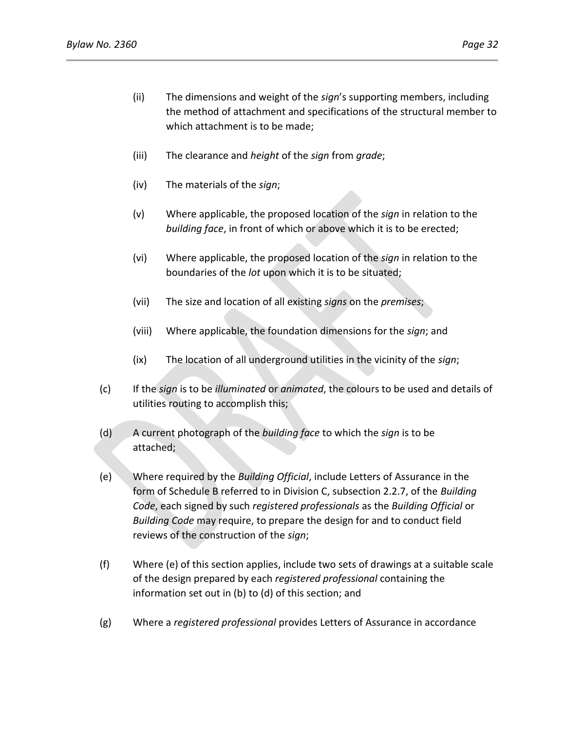- (ii) The dimensions and weight of the *sign*'s supporting members, including the method of attachment and specifications of the structural member to which attachment is to be made;
- (iii) The clearance and *height* of the *sign* from *grade*;
- (iv) The materials of the *sign*;
- (v) Where applicable, the proposed location of the *sign* in relation to the *building face*, in front of which or above which it is to be erected;
- (vi) Where applicable, the proposed location of the *sign* in relation to the boundaries of the *lot* upon which it is to be situated;
- (vii) The size and location of all existing *signs* on the *premises*;
- (viii) Where applicable, the foundation dimensions for the *sign*; and
- (ix) The location of all underground utilities in the vicinity of the *sign*;
- (c) If the *sign* is to be *illuminated* or *animated*, the colours to be used and details of utilities routing to accomplish this;
- (d) A current photograph of the *building face* to which the *sign* is to be attached;
- (e) Where required by the *Building Official*, include Letters of Assurance in the form of Schedule B referred to in Division C, subsection 2.2.7, of the *Building Code*, each signed by such *registered professionals* as the *Building Official* or *Building Code* may require, to prepare the design for and to conduct field reviews of the construction of the *sign*;
- (f) Where (e) of this section applies, include two sets of drawings at a suitable scale of the design prepared by each *registered professional* containing the information set out in (b) to (d) of this section; and
- (g) Where a *registered professional* provides Letters of Assurance in accordance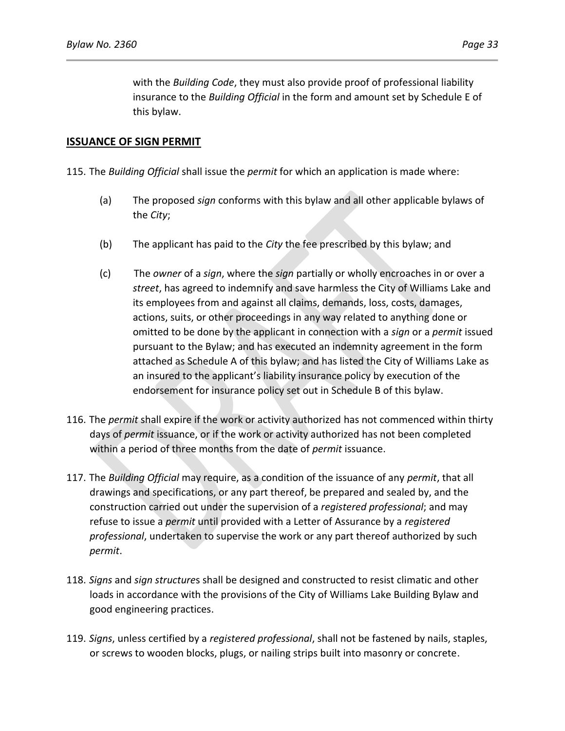with the *Building Code*, they must also provide proof of professional liability insurance to the *Building Official* in the form and amount set by Schedule E of this bylaw.

### **ISSUANCE OF SIGN PERMIT**

- 115. The *Building Official* shall issue the *permit* for which an application is made where:
	- (a) The proposed *sign* conforms with this bylaw and all other applicable bylaws of the *City*;
	- (b) The applicant has paid to the *City* the fee prescribed by this bylaw; and
	- (c) The *owner* of a *sign*, where the *sign* partially or wholly encroaches in or over a *street*, has agreed to indemnify and save harmless the City of Williams Lake and its employees from and against all claims, demands, loss, costs, damages, actions, suits, or other proceedings in any way related to anything done or omitted to be done by the applicant in connection with a *sign* or a *permit* issued pursuant to the Bylaw; and has executed an indemnity agreement in the form attached as Schedule A of this bylaw; and has listed the City of Williams Lake as an insured to the applicant's liability insurance policy by execution of the endorsement for insurance policy set out in Schedule B of this bylaw.
- 116. The *permit* shall expire if the work or activity authorized has not commenced within thirty days of *permit* issuance, or if the work or activity authorized has not been completed within a period of three months from the date of *permit* issuance.
- 117. The *Building Official* may require, as a condition of the issuance of any *permit*, that all drawings and specifications, or any part thereof, be prepared and sealed by, and the construction carried out under the supervision of a *registered professional*; and may refuse to issue a *permit* until provided with a Letter of Assurance by a *registered professional*, undertaken to supervise the work or any part thereof authorized by such *permit*.
- 118. *Signs* and *sign structure*s shall be designed and constructed to resist climatic and other loads in accordance with the provisions of the City of Williams Lake Building Bylaw and good engineering practices.
- 119. *Signs*, unless certified by a *registered professional*, shall not be fastened by nails, staples, or screws to wooden blocks, plugs, or nailing strips built into masonry or concrete.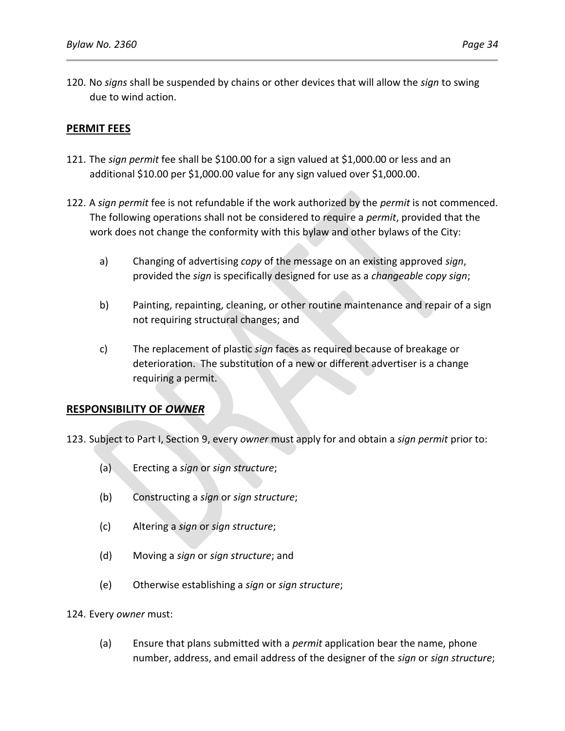## **PERMIT FEES**

- 121. The *sign permit* fee shall be \$100.00 for a sign valued at \$1,000.00 or less and an additional \$10.00 per \$1,000.00 value for any sign valued over \$1,000.00.
- 122. A *sign permit* fee is not refundable if the work authorized by the *permit* is not commenced. The following operations shall not be considered to require a *permit*, provided that the work does not change the conformity with this bylaw and other bylaws of the City:
	- a) Changing of advertising *copy* of the message on an existing approved *sign*, provided the *sign* is specifically designed for use as a *changeable copy sign*;
	- b) Painting, repainting, cleaning, or other routine maintenance and repair of a sign not requiring structural changes; and
	- c) The replacement of plastic *sign* faces as required because of breakage or deterioration. The substitution of a new or different advertiser is a change requiring a permit.

## **RESPONSIBILITY OF** *OWNER*

123. Subject to Part I, Section 9, every *owner* must apply for and obtain a *sign permit* prior to:

- (a) Erecting a *sign* or *sign structure*;
- (b) Constructing a *sign* or *sign structure*;
- (c) Altering a *sign* or *sign structure*;
- (d) Moving a *sign* or *sign structure*; and
- (e) Otherwise establishing a *sign* or *sign structure*;

124. Every *owner* must:

(a) Ensure that plans submitted with a *permit* application bear the name, phone number, address, and email address of the designer of the *sign* or *sign structure*;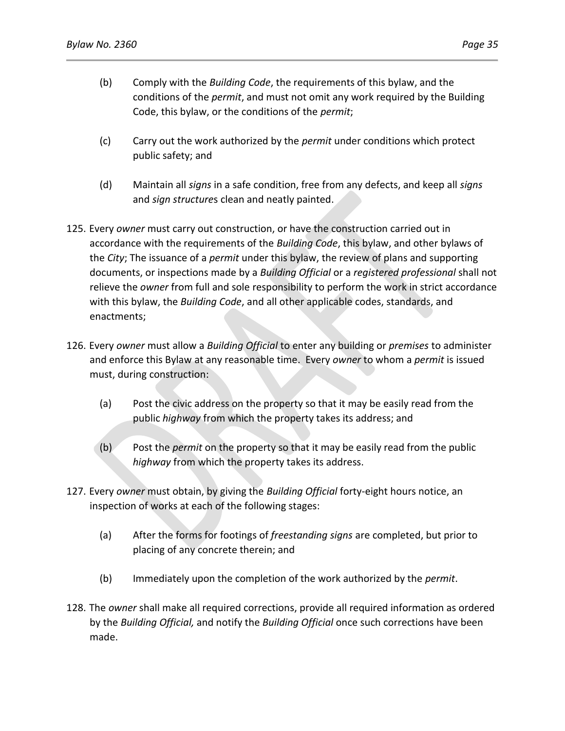- (b) Comply with the *Building Code*, the requirements of this bylaw, and the conditions of the *permit*, and must not omit any work required by the Building Code, this bylaw, or the conditions of the *permit*;
- (c) Carry out the work authorized by the *permit* under conditions which protect public safety; and
- (d) Maintain all *signs* in a safe condition, free from any defects, and keep all *signs* and *sign structure*s clean and neatly painted.
- 125. Every *owner* must carry out construction, or have the construction carried out in accordance with the requirements of the *Building Code*, this bylaw, and other bylaws of the *City*; The issuance of a *permit* under this bylaw, the review of plans and supporting documents, or inspections made by a *Building Official* or a *registered professional* shall not relieve the *owner* from full and sole responsibility to perform the work in strict accordance with this bylaw, the *Building Code*, and all other applicable codes, standards, and enactments;
- 126. Every *owner* must allow a *Building Official* to enter any building or *premises* to administer and enforce this Bylaw at any reasonable time. Every *owner* to whom a *permit* is issued must, during construction:
	- (a) Post the civic address on the property so that it may be easily read from the public *highway* from which the property takes its address; and
	- (b) Post the *permit* on the property so that it may be easily read from the public *highway* from which the property takes its address.
- 127. Every *owner* must obtain, by giving the *Building Official* forty-eight hours notice, an inspection of works at each of the following stages:
	- (a) After the forms for footings of *freestanding signs* are completed, but prior to placing of any concrete therein; and
	- (b) Immediately upon the completion of the work authorized by the *permit*.
- 128. The *owner* shall make all required corrections, provide all required information as ordered by the *Building Official,* and notify the *Building Official* once such corrections have been made.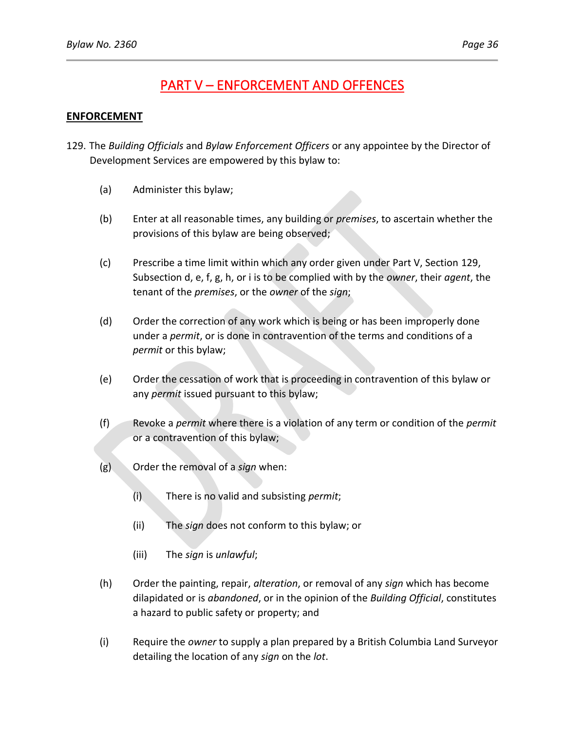# PART V – ENFORCEMENT AND OFFENCES

## **ENFORCEMENT**

- 129. The *Building Officials* and *Bylaw Enforcement Officers* or any appointee by the Director of Development Services are empowered by this bylaw to:
	- (a) Administer this bylaw;
	- (b) Enter at all reasonable times, any building or *premises*, to ascertain whether the provisions of this bylaw are being observed;
	- (c) Prescribe a time limit within which any order given under Part V, Section 129, Subsection d, e, f, g, h, or i is to be complied with by the *owner*, their *agent*, the tenant of the *premises*, or the *owner* of the *sign*;
	- (d) Order the correction of any work which is being or has been improperly done under a *permit*, or is done in contravention of the terms and conditions of a *permit* or this bylaw;
	- (e) Order the cessation of work that is proceeding in contravention of this bylaw or any *permit* issued pursuant to this bylaw;
	- (f) Revoke a *permit* where there is a violation of any term or condition of the *permit* or a contravention of this bylaw;
	- (g) Order the removal of a *sign* when:
		- (i) There is no valid and subsisting *permit*;
		- (ii) The *sign* does not conform to this bylaw; or
		- (iii) The *sign* is *unlawful*;
	- (h) Order the painting, repair, *alteration*, or removal of any *sign* which has become dilapidated or is *abandoned*, or in the opinion of the *Building Official*, constitutes a hazard to public safety or property; and
	- (i) Require the *owner* to supply a plan prepared by a British Columbia Land Surveyor detailing the location of any *sign* on the *lot*.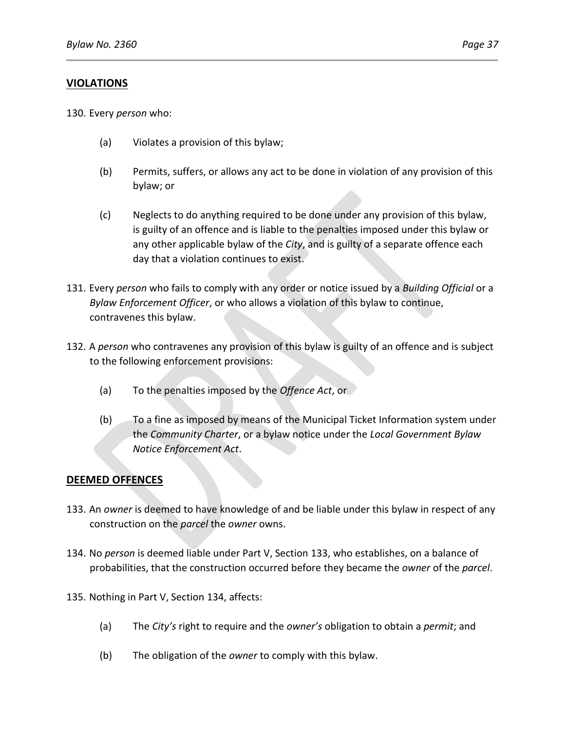## **VIOLATIONS**

130. Every *person* who:

- (a) Violates a provision of this bylaw;
- (b) Permits, suffers, or allows any act to be done in violation of any provision of this bylaw; or
- (c) Neglects to do anything required to be done under any provision of this bylaw, is guilty of an offence and is liable to the penalties imposed under this bylaw or any other applicable bylaw of the *City*, and is guilty of a separate offence each day that a violation continues to exist.
- 131. Every *person* who fails to comply with any order or notice issued by a *Building Official* or a *Bylaw Enforcement Officer*, or who allows a violation of this bylaw to continue, contravenes this bylaw.
- 132. A *person* who contravenes any provision of this bylaw is guilty of an offence and is subject to the following enforcement provisions:
	- (a) To the penalties imposed by the *Offence Act*, or
	- (b) To a fine as imposed by means of the Municipal Ticket Information system under the *Community Charter*, or a bylaw notice under the *Local Government Bylaw Notice Enforcement Act*.

## **DEEMED OFFENCES**

- 133. An *owner* is deemed to have knowledge of and be liable under this bylaw in respect of any construction on the *parcel* the *owner* owns.
- 134. No *person* is deemed liable under Part V, Section 133, who establishes, on a balance of probabilities, that the construction occurred before they became the *owner* of the *parcel*.
- 135. Nothing in Part V, Section 134, affects:
	- (a) The *City's* right to require and the *owner's* obligation to obtain a *permit*; and
	- (b) The obligation of the *owner* to comply with this bylaw.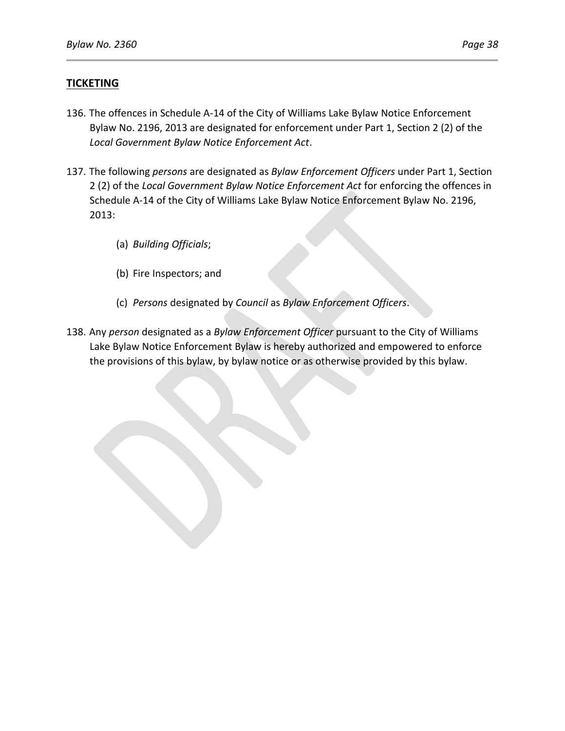## **TICKETING**

- 136. The offences in Schedule A-14 of the City of Williams Lake Bylaw Notice Enforcement Bylaw No. 2196, 2013 are designated for enforcement under Part 1, Section 2 (2) of the *Local Government Bylaw Notice Enforcement Act*.
- 137. The following *persons* are designated as *Bylaw Enforcement Officers* under Part 1, Section 2 (2) of the *Local Government Bylaw Notice Enforcement Act* for enforcing the offences in Schedule A-14 of the City of Williams Lake Bylaw Notice Enforcement Bylaw No. 2196, 2013:
	- (a) *Building Officials*;
	- (b) Fire Inspectors; and
	- (c) *Persons* designated by *Council* as *Bylaw Enforcement Officers*.
- 138. Any *person* designated as a *Bylaw Enforcement Officer* pursuant to the City of Williams Lake Bylaw Notice Enforcement Bylaw is hereby authorized and empowered to enforce the provisions of this bylaw, by bylaw notice or as otherwise provided by this bylaw.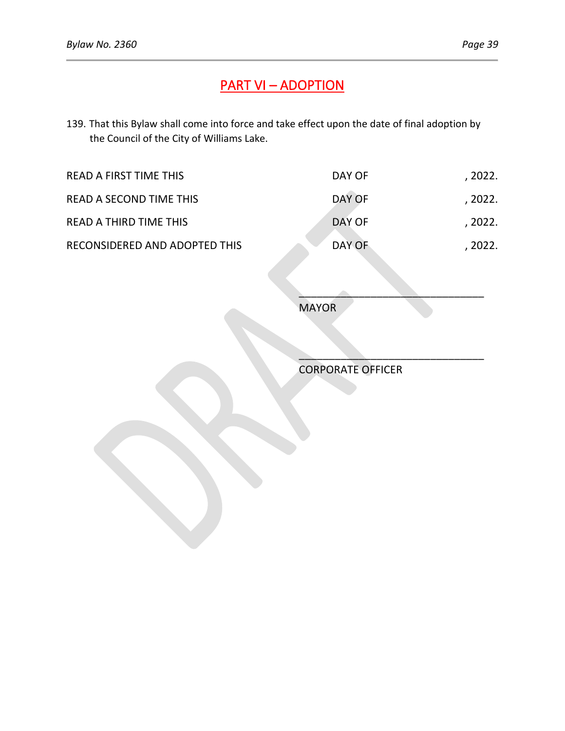# PART VI – ADOPTION

139. That this Bylaw shall come into force and take effect upon the date of final adoption by the Council of the City of Williams Lake.

| READ A FIRST TIME THIS        | DAY OF | , 2022. |
|-------------------------------|--------|---------|
| READ A SECOND TIME THIS       | DAY OF | , 2022. |
| <b>READ A THIRD TIME THIS</b> | DAY OF | . 2022. |
| RECONSIDERED AND ADOPTED THIS | DAY OF | . 2022. |

MAYOR

CORPORATE OFFICER

 $\sum_{i=1}^n\frac{1}{i!}\sum_{j=1}^n\frac{1}{j!}\sum_{j=1}^n\frac{1}{j!}\sum_{j=1}^n\frac{1}{j!}\sum_{j=1}^n\frac{1}{j!}\sum_{j=1}^n\frac{1}{j!}\sum_{j=1}^n\frac{1}{j!}\sum_{j=1}^n\frac{1}{j!}\sum_{j=1}^n\frac{1}{j!}\sum_{j=1}^n\frac{1}{j!}\sum_{j=1}^n\frac{1}{j!}\sum_{j=1}^n\frac{1}{j!}\sum_{j=1}^n\frac{1}{j!}\sum_{j=1}^n\frac{$ 

 $\mathcal{L}=\mathcal{L}=\mathcal{L}=\mathcal{L}=\mathcal{L}=\mathcal{L}=\mathcal{L}=\mathcal{L}=\mathcal{L}=\mathcal{L}=\mathcal{L}=\mathcal{L}=\mathcal{L}=\mathcal{L}=\mathcal{L}=\mathcal{L}=\mathcal{L}=\mathcal{L}=\mathcal{L}=\mathcal{L}=\mathcal{L}=\mathcal{L}=\mathcal{L}=\mathcal{L}=\mathcal{L}=\mathcal{L}=\mathcal{L}=\mathcal{L}=\mathcal{L}=\mathcal{L}=\mathcal{L}=\mathcal{L}=\mathcal{L}=\mathcal{L}=\mathcal{L}=\mathcal{L}=\mathcal{$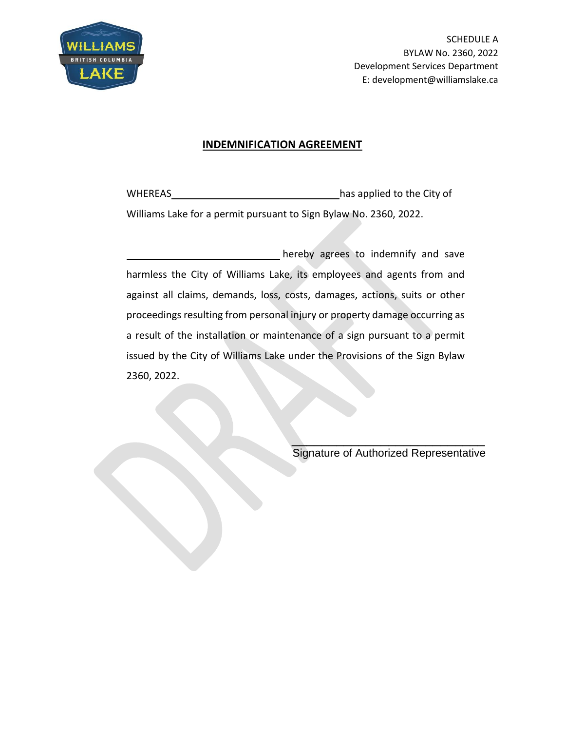

SCHEDULE A BYLAW No. 2360, 2022 Development Services Department E: development@williamslake.ca

## **INDEMNIFICATION AGREEMENT**

WHEREAS has applied to the City of Williams Lake for a permit pursuant to Sign Bylaw No. 2360, 2022.

hereby agrees to indemnify and save harmless the City of Williams Lake, its employees and agents from and against all claims, demands, loss, costs, damages, actions, suits or other proceedings resulting from personal injury or property damage occurring as a result of the installation or maintenance of a sign pursuant to a permit issued by the City of Williams Lake under the Provisions of the Sign Bylaw 2360, 2022.

> $\mathcal{L}=\sum_{i=1}^n\frac{1}{i!}\sum_{j=1}^n\frac{1}{j!}\sum_{j=1}^n\frac{1}{j!}\sum_{j=1}^n\frac{1}{j!}\sum_{j=1}^n\frac{1}{j!}\sum_{j=1}^n\frac{1}{j!}\sum_{j=1}^n\frac{1}{j!}\sum_{j=1}^n\frac{1}{j!}\sum_{j=1}^n\frac{1}{j!}\sum_{j=1}^n\frac{1}{j!}\sum_{j=1}^n\frac{1}{j!}\sum_{j=1}^n\frac{1}{j!}\sum_{j=1}^n\frac{1}{j!}\sum_{j=1$ Signature of Authorized Representative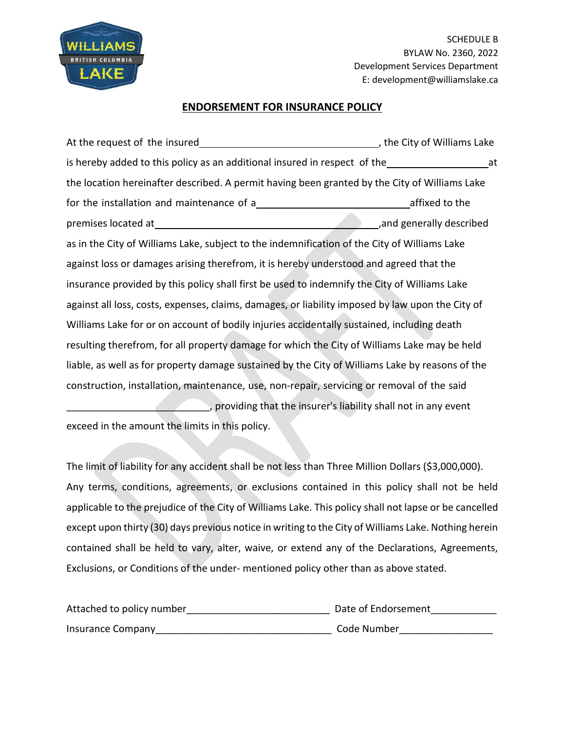

SCHEDULE B BYLAW No. 2360, 2022 Development Services Department E: development@williamslake.ca

### **ENDORSEMENT FOR INSURANCE POLICY**

At the request of the insured  $\blacksquare$ , the City of Williams Lake is hereby added to this policy as an additional insured in respect of the at at the location hereinafter described. A permit having been granted by the City of Williams Lake for the installation and maintenance of a affixed to the affixed to the premises located at  $\overline{a}$  ,and generally described as in the City of Williams Lake, subject to the indemnification of the City of Williams Lake against loss or damages arising therefrom, it is hereby understood and agreed that the insurance provided by this policy shall first be used to indemnify the City of Williams Lake against all loss, costs, expenses, claims, damages, or liability imposed by law upon the City of Williams Lake for or on account of bodily injuries accidentally sustained, including death resulting therefrom, for all property damage for which the City of Williams Lake may be held liable, as well as for property damage sustained by the City of Williams Lake by reasons of the construction, installation, maintenance, use, non-repair, servicing or removal of the said \_\_\_\_\_\_\_\_\_\_\_\_\_\_\_\_\_\_\_\_\_\_\_\_\_\_, providing that the insurer's liability shall not in any event

exceed in the amount the limits in this policy.

The limit of liability for any accident shall be not less than Three Million Dollars (\$3,000,000). Any terms, conditions, agreements, or exclusions contained in this policy shall not be held applicable to the prejudice of the City of Williams Lake. This policy shall not lapse or be cancelled except upon thirty (30) days previous notice in writing to the City of Williams Lake. Nothing herein contained shall be held to vary, alter, waive, or extend any of the Declarations, Agreements, Exclusions, or Conditions of the under- mentioned policy other than as above stated.

| Attached to policy number | Date of Endorsement |  |
|---------------------------|---------------------|--|
| Insurance Company         | Code Number         |  |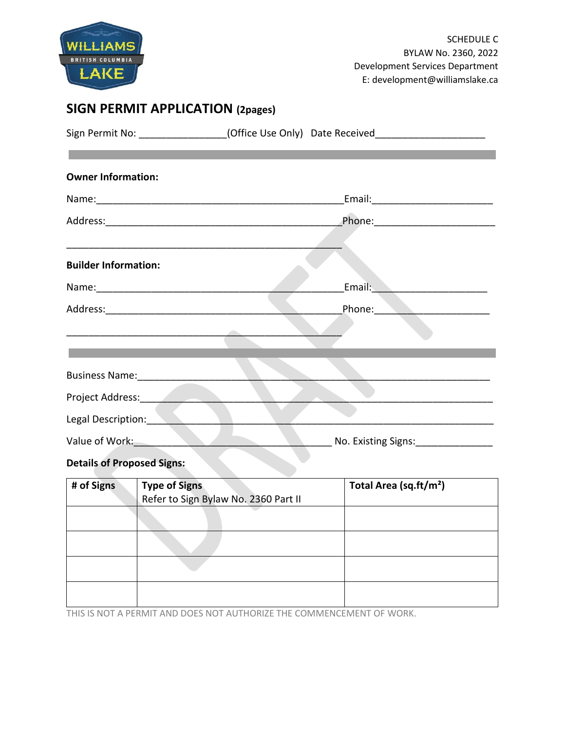

# **SIGN PERMIT APPLICATION (2pages)**

|                                       |                                      | Sign Permit No: ________________(Office Use Only) Date Received_________________ |
|---------------------------------------|--------------------------------------|----------------------------------------------------------------------------------|
| <b>Owner Information:</b>             |                                      |                                                                                  |
|                                       |                                      | _Email:__________________________                                                |
|                                       |                                      |                                                                                  |
| <b>Builder Information:</b>           |                                      |                                                                                  |
|                                       |                                      | Email: <b>Container and Separate Services</b>                                    |
|                                       |                                      | Phone: _______________________                                                   |
|                                       |                                      |                                                                                  |
|                                       |                                      |                                                                                  |
| Business Name: _________________      |                                      |                                                                                  |
|                                       |                                      |                                                                                  |
| Legal Description: Negative Contracts |                                      |                                                                                  |
| Value of Work:                        |                                      | No. Existing Signs: No. Existing Signs:                                          |
| <b>Details of Proposed Signs:</b>     |                                      |                                                                                  |
| # of Signs<br><b>Type of Signs</b>    | Refer to Sign Bylaw No. 2360 Part II | Total Area (sq.ft/m <sup>2</sup> )                                               |
|                                       |                                      |                                                                                  |

THIS IS NOT A PERMIT AND DOES NOT AUTHORIZE THE COMMENCEMENT OF WORK.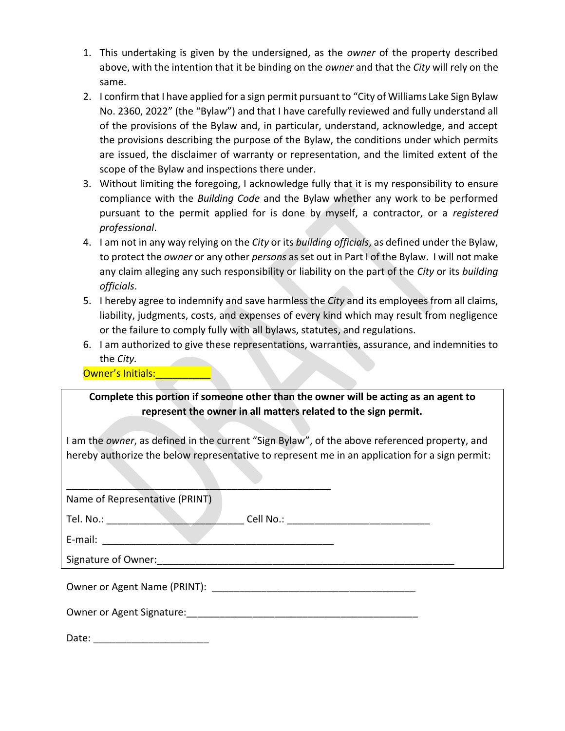- 1. This undertaking is given by the undersigned, as the *owner* of the property described above, with the intention that it be binding on the *owner* and that the *City* will rely on the same.
- 2. I confirm that I have applied for a sign permit pursuant to "City of Williams Lake Sign Bylaw No. 2360, 2022" (the "Bylaw") and that I have carefully reviewed and fully understand all of the provisions of the Bylaw and, in particular, understand, acknowledge, and accept the provisions describing the purpose of the Bylaw, the conditions under which permits are issued, the disclaimer of warranty or representation, and the limited extent of the scope of the Bylaw and inspections there under.
- 3. Without limiting the foregoing, I acknowledge fully that it is my responsibility to ensure compliance with the *Building Code* and the Bylaw whether any work to be performed pursuant to the permit applied for is done by myself, a contractor, or a *registered professional*.
- 4. I am not in any way relying on the *City* or its *building officials*, as defined under the Bylaw, to protect the *owner* or any other *persons* as set out in Part I of the Bylaw. I will not make any claim alleging any such responsibility or liability on the part of the *City* or its *building officials*.
- 5. I hereby agree to indemnify and save harmless the *City* and its employees from all claims, liability, judgments, costs, and expenses of every kind which may result from negligence or the failure to comply fully with all bylaws, statutes, and regulations.
- 6. I am authorized to give these representations, warranties, assurance, and indemnities to the *City.*

Owner's Initials: 2008

| Complete this portion if someone other than the owner will be acting as an agent to |  |
|-------------------------------------------------------------------------------------|--|
| represent the owner in all matters related to the sign permit.                      |  |

I am the *owner*, as defined in the current "Sign Bylaw", of the above referenced property, and hereby authorize the below representative to represent me in an application for a sign permit:

| Name of Representative (PRINT) |  |
|--------------------------------|--|
|--------------------------------|--|

 $\overline{\phantom{a}}$  ,  $\overline{\phantom{a}}$  ,  $\overline{\phantom{a}}$  ,  $\overline{\phantom{a}}$  ,  $\overline{\phantom{a}}$  ,  $\overline{\phantom{a}}$  ,  $\overline{\phantom{a}}$  ,  $\overline{\phantom{a}}$  ,  $\overline{\phantom{a}}$  ,  $\overline{\phantom{a}}$  ,  $\overline{\phantom{a}}$  ,  $\overline{\phantom{a}}$  ,  $\overline{\phantom{a}}$  ,  $\overline{\phantom{a}}$  ,  $\overline{\phantom{a}}$  ,  $\overline{\phantom{a}}$ 

Tel. No.: \_\_\_\_\_\_\_\_\_\_\_\_\_\_\_\_\_\_\_\_\_\_\_\_\_ Cell No.: \_\_\_\_\_\_\_\_\_\_\_\_\_\_\_\_\_\_\_\_\_\_\_\_\_\_

E-mail:

Signature of Owner:

| Owner or Agent Name (PRINT): |
|------------------------------|
|------------------------------|

Owner or Agent Signature:\_\_\_\_\_\_\_\_\_\_\_\_\_\_\_\_\_\_\_\_\_\_\_\_\_\_\_\_\_\_\_\_\_\_\_\_\_\_\_\_\_\_

Date: \_\_\_\_\_\_\_\_\_\_\_\_\_\_\_\_\_\_\_\_\_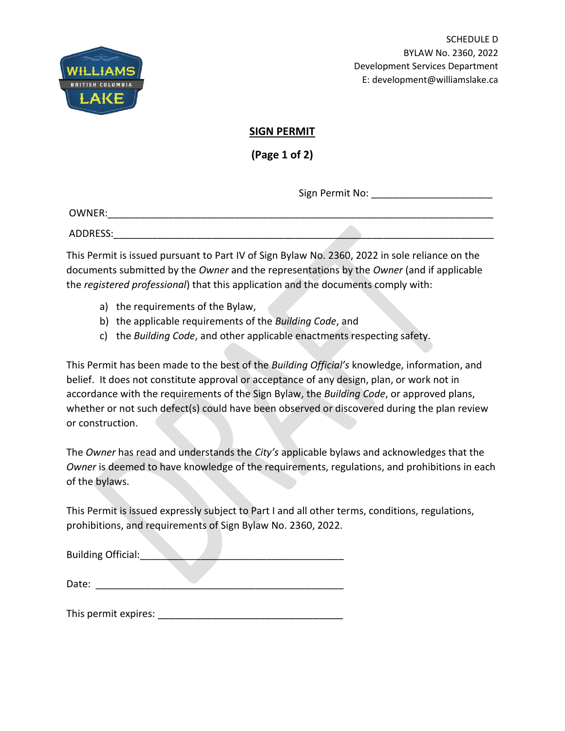

SCHEDULE D BYLAW No. 2360, 2022 Development Services Department E: development@williamslake.ca

# **SIGN PERMIT**

**(Page 1 of 2)**

Sign Permit No: **William Signer** 

OWNER:

ADDRESS:\_\_\_\_\_\_\_\_\_\_\_\_\_\_\_\_\_\_\_\_\_\_\_\_\_\_\_\_\_\_\_\_\_\_\_\_\_\_\_\_\_\_\_\_\_\_\_\_\_\_\_\_\_\_\_\_\_\_\_\_\_\_\_\_\_\_\_\_\_

This Permit is issued pursuant to Part IV of Sign Bylaw No. 2360, 2022 in sole reliance on the documents submitted by the *Owner* and the representations by the *Owner* (and if applicable the *registered professional*) that this application and the documents comply with:

- a) the requirements of the Bylaw,
- b) the applicable requirements of the *Building Code*, and
- c) the *Building Code*, and other applicable enactments respecting safety.

This Permit has been made to the best of the *Building Official's* knowledge, information, and belief. It does not constitute approval or acceptance of any design, plan, or work not in accordance with the requirements of the Sign Bylaw, the *Building Code*, or approved plans, whether or not such defect(s) could have been observed or discovered during the plan review or construction.

The *Owner* has read and understands the *City's* applicable bylaws and acknowledges that the *Owner* is deemed to have knowledge of the requirements, regulations, and prohibitions in each of the bylaws.

This Permit is issued expressly subject to Part I and all other terms, conditions, regulations, prohibitions, and requirements of Sign Bylaw No. 2360, 2022.

| <b>Building Official:</b> |  |  |
|---------------------------|--|--|
|                           |  |  |

This permit expires: **Example 20** Fig. 20 Fig. 20 Fig. 20 Fig. 20 Fig. 20 Fig. 20 Fig. 20 Fig. 20 Fig. 20 Fig. 20 Fig. 20 Fig. 20 Fig. 20 Fig. 20 Fig. 20 Fig. 20 Fig. 20 Fig. 20 Fig. 20 Fig. 20 Fig. 20 Fig. 20 Fig. 20 Fig.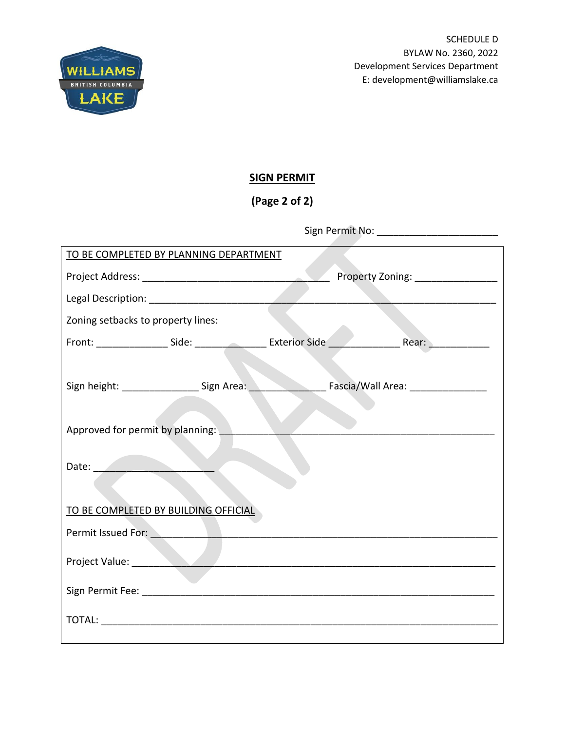

# **SIGN PERMIT**

**(Page 2 of 2)**

| TO BE COMPLETED BY PLANNING DEPARTMENT                                           |  |                                     |
|----------------------------------------------------------------------------------|--|-------------------------------------|
|                                                                                  |  | Property Zoning: _________________  |
|                                                                                  |  |                                     |
| Zoning setbacks to property lines:                                               |  |                                     |
|                                                                                  |  |                                     |
|                                                                                  |  |                                     |
| Sign height: __________________________________ Sign Area: _____________________ |  | Fascia/Wall Area: _________________ |
|                                                                                  |  |                                     |
| Approved for permit by planning:                                                 |  |                                     |
|                                                                                  |  |                                     |
| Date: <u>www.community.com</u>                                                   |  |                                     |
|                                                                                  |  |                                     |
| TO BE COMPLETED BY BUILDING OFFICIAL                                             |  |                                     |
| Permit Issued For: New York Permit Issued For:                                   |  |                                     |
|                                                                                  |  |                                     |
|                                                                                  |  |                                     |
|                                                                                  |  |                                     |
|                                                                                  |  |                                     |
|                                                                                  |  |                                     |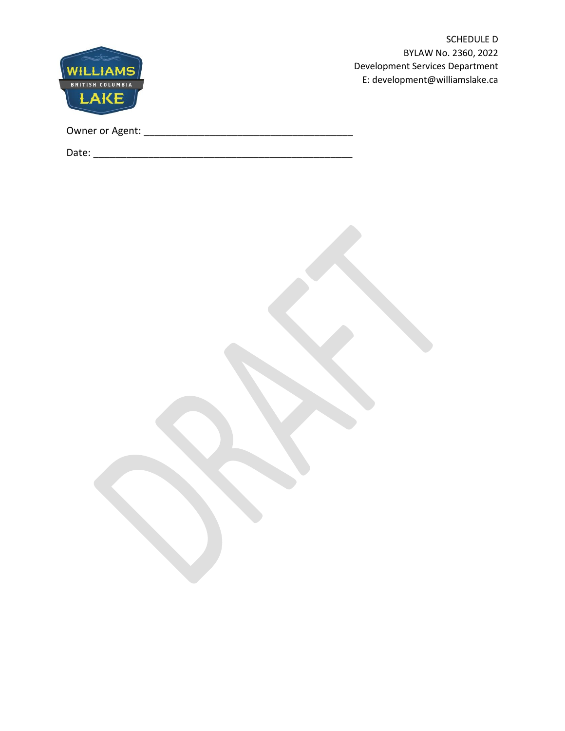

SCHEDULE D BYLAW No. 2360, 2022 Development Services Department E: development@williamslake.ca

| Owner or Agent: |
|-----------------|
|-----------------|

Date: \_\_\_\_\_\_\_\_\_\_\_\_\_\_\_\_\_\_\_\_\_\_\_\_\_\_\_\_\_\_\_\_\_\_\_\_\_\_\_\_\_\_\_\_\_\_\_